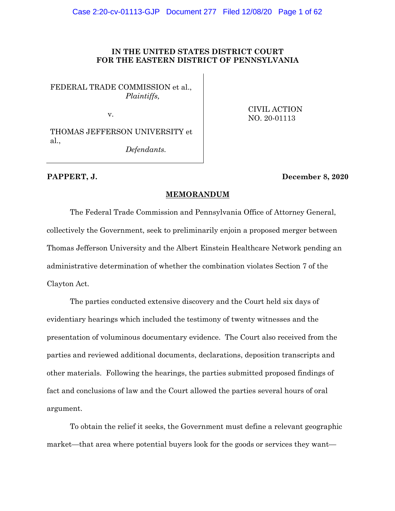# **IN THE UNITED STATES DISTRICT COURT FOR THE EASTERN DISTRICT OF PENNSYLVANIA**

FEDERAL TRADE COMMISSION et al., *Plaintiffs,*

v.

 CIVIL ACTION NO. 20-01113

THOMAS JEFFERSON UNIVERSITY et al.,

*Defendants.*

# **PAPPERT, J. December 8, 2020**

## **MEMORANDUM**

The Federal Trade Commission and Pennsylvania Office of Attorney General, collectively the Government, seek to preliminarily enjoin a proposed merger between Thomas Jefferson University and the Albert Einstein Healthcare Network pending an administrative determination of whether the combination violates Section 7 of the Clayton Act.

The parties conducted extensive discovery and the Court held six days of evidentiary hearings which included the testimony of twenty witnesses and the presentation of voluminous documentary evidence. The Court also received from the parties and reviewed additional documents, declarations, deposition transcripts and other materials. Following the hearings, the parties submitted proposed findings of fact and conclusions of law and the Court allowed the parties several hours of oral argument.

To obtain the relief it seeks, the Government must define a relevant geographic market—that area where potential buyers look for the goods or services they want—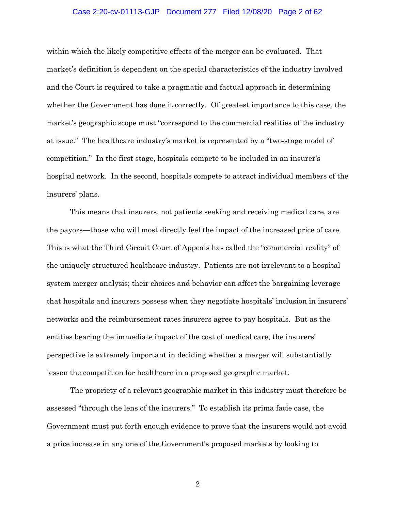# Case 2:20-cv-01113-GJP Document 277 Filed 12/08/20 Page 2 of 62

within which the likely competitive effects of the merger can be evaluated. That market's definition is dependent on the special characteristics of the industry involved and the Court is required to take a pragmatic and factual approach in determining whether the Government has done it correctly. Of greatest importance to this case, the market's geographic scope must "correspond to the commercial realities of the industry at issue." The healthcare industry's market is represented by a "two-stage model of competition." In the first stage, hospitals compete to be included in an insurer's hospital network. In the second, hospitals compete to attract individual members of the insurers' plans.

This means that insurers, not patients seeking and receiving medical care, are the payors—those who will most directly feel the impact of the increased price of care. This is what the Third Circuit Court of Appeals has called the "commercial reality" of the uniquely structured healthcare industry. Patients are not irrelevant to a hospital system merger analysis; their choices and behavior can affect the bargaining leverage that hospitals and insurers possess when they negotiate hospitals' inclusion in insurers' networks and the reimbursement rates insurers agree to pay hospitals. But as the entities bearing the immediate impact of the cost of medical care, the insurers' perspective is extremely important in deciding whether a merger will substantially lessen the competition for healthcare in a proposed geographic market.

The propriety of a relevant geographic market in this industry must therefore be assessed "through the lens of the insurers." To establish its prima facie case, the Government must put forth enough evidence to prove that the insurers would not avoid a price increase in any one of the Government's proposed markets by looking to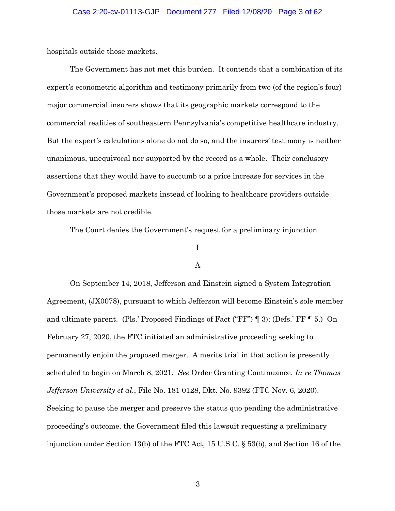hospitals outside those markets.

The Government has not met this burden. It contends that a combination of its expert's econometric algorithm and testimony primarily from two (of the region's four) major commercial insurers shows that its geographic markets correspond to the commercial realities of southeastern Pennsylvania's competitive healthcare industry. But the expert's calculations alone do not do so, and the insurers' testimony is neither unanimous, unequivocal nor supported by the record as a whole. Their conclusory assertions that they would have to succumb to a price increase for services in the Government's proposed markets instead of looking to healthcare providers outside those markets are not credible.

The Court denies the Government's request for a preliminary injunction.

# I

## A

On September 14, 2018, Jefferson and Einstein signed a System Integration Agreement, (JX0078), pursuant to which Jefferson will become Einstein's sole member and ultimate parent. (Pls.' Proposed Findings of Fact ("FF") ¶ 3); (Defs.' FF ¶ 5.) On February 27, 2020, the FTC initiated an administrative proceeding seeking to permanently enjoin the proposed merger. A merits trial in that action is presently scheduled to begin on March 8, 2021. *See* Order Granting Continuance, *In re Thomas Jefferson University et al.*, File No. 181 0128, Dkt. No. 9392 (FTC Nov. 6, 2020). Seeking to pause the merger and preserve the status quo pending the administrative proceeding's outcome, the Government filed this lawsuit requesting a preliminary injunction under Section 13(b) of the FTC Act, 15 U.S.C. § 53(b), and Section 16 of the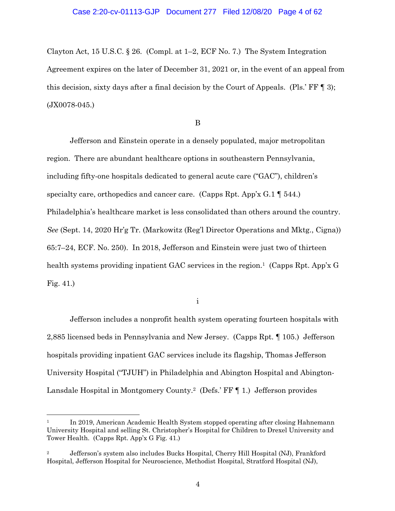Clayton Act, 15 U.S.C. § 26. (Compl. at 1–2, ECF No. 7.) The System Integration Agreement expires on the later of December 31, 2021 or, in the event of an appeal from this decision, sixty days after a final decision by the Court of Appeals. (Pls.' FF ¶ 3); (JX0078-045.)

B

Jefferson and Einstein operate in a densely populated, major metropolitan region. There are abundant healthcare options in southeastern Pennsylvania, including fifty-one hospitals dedicated to general acute care ("GAC"), children's specialty care, orthopedics and cancer care. (Capps Rpt. App'x G.1  $\parallel$  544.) Philadelphia's healthcare market is less consolidated than others around the country. *See* (Sept. 14, 2020 Hr'g Tr. (Markowitz (Reg'l Director Operations and Mktg., Cigna)) 65:7–24, ECF. No. 250). In 2018, Jefferson and Einstein were just two of thirteen health systems providing inpatient GAC services in the region.<sup>1</sup> (Capps Rpt. App'x G Fig. 41.)

i

Jefferson includes a nonprofit health system operating fourteen hospitals with 2,885 licensed beds in Pennsylvania and New Jersey. (Capps Rpt. ¶ 105.) Jefferson hospitals providing inpatient GAC services include its flagship, Thomas Jefferson University Hospital ("TJUH") in Philadelphia and Abington Hospital and Abington-Lansdale Hospital in Montgomery County.<sup>2</sup> (Defs.' FF [1.] Jefferson provides

<sup>&</sup>lt;sup>1</sup> In 2019, American Academic Health System stopped operating after closing Hahnemann University Hospital and selling St. Christopher's Hospital for Children to Drexel University and Tower Health. (Capps Rpt. App'x G Fig. 41.)

<sup>2</sup> Jefferson's system also includes Bucks Hospital, Cherry Hill Hospital (NJ), Frankford Hospital, Jefferson Hospital for Neuroscience, Methodist Hospital, Stratford Hospital (NJ),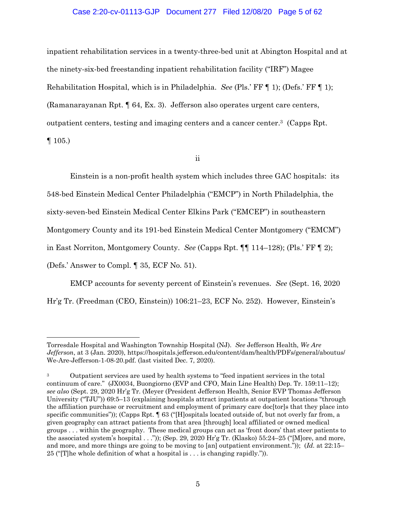# Case 2:20-cv-01113-GJP Document 277 Filed 12/08/20 Page 5 of 62

inpatient rehabilitation services in a twenty-three-bed unit at Abington Hospital and at the ninety-six-bed freestanding inpatient rehabilitation facility ("IRF") Magee Rehabilitation Hospital, which is in Philadelphia. *See* (Pls.' FF ¶ 1); (Defs.' FF ¶ 1); (Ramanarayanan Rpt. ¶ 64, Ex. 3). Jefferson also operates urgent care centers, outpatient centers, testing and imaging centers and a cancer center.3 (Capps Rpt.  $\P$  105.)

ii

Einstein is a non-profit health system which includes three GAC hospitals: its 548-bed Einstein Medical Center Philadelphia ("EMCP") in North Philadelphia, the sixty-seven-bed Einstein Medical Center Elkins Park ("EMCEP") in southeastern Montgomery County and its 191-bed Einstein Medical Center Montgomery ("EMCM") in East Norriton, Montgomery County. *See* (Capps Rpt. ¶¶ 114–128); (Pls.' FF ¶ 2); (Defs.' Answer to Compl. ¶ 35, ECF No. 51).

EMCP accounts for seventy percent of Einstein's revenues. *See* (Sept. 16, 2020 Hr'g Tr. (Freedman (CEO, Einstein)) 106:21–23, ECF No. 252). However, Einstein's

Torresdale Hospital and Washington Township Hospital (NJ). *See* Jefferson Health, *We Are Jefferson*, at 3 (Jan. 2020), https://hospitals.jefferson.edu/content/dam/health/PDFs/general/aboutus/ We-Are-Jefferson-1-08-20.pdf. (last visited Dec. 7, 2020).

<sup>3</sup> Outpatient services are used by health systems to "feed inpatient services in the total continuum of care." (JX0034, Buongiorno (EVP and CFO, Main Line Health) Dep. Tr. 159:11–12); *see also* (Sept. 29, 2020 Hr'g Tr. (Meyer (President Jefferson Health, Senior EVP Thomas Jefferson University ("TJU")) 69:5–13 (explaining hospitals attract inpatients at outpatient locations "through the affiliation purchase or recruitment and employment of primary care doc[tor]s that they place into specific communities")); (Capps Rpt.  $\P$  63 ("[H]ospitals located outside of, but not overly far from, a given geography can attract patients from that area [through] local affiliated or owned medical groups . . . within the geography. These medical groups can act as 'front doors' that steer patients to the associated system's hospital . . .")); (Sep. 29, 2020 Hr'g Tr. (Klasko) 55:24–25 ("[M]ore, and more, and more, and more things are going to be moving to [an] outpatient environment.")); (*Id.* at 22:15– 25 ("[T]he whole definition of what a hospital is . . . is changing rapidly.")).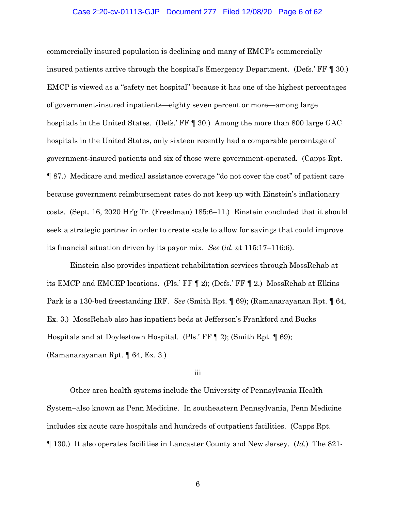# Case 2:20-cv-01113-GJP Document 277 Filed 12/08/20 Page 6 of 62

commercially insured population is declining and many of EMCP's commercially insured patients arrive through the hospital's Emergency Department. (Defs.' FF ¶ 30.) EMCP is viewed as a "safety net hospital" because it has one of the highest percentages of government-insured inpatients—eighty seven percent or more—among large hospitals in the United States. (Defs.' FF [ 30.) Among the more than 800 large GAC hospitals in the United States, only sixteen recently had a comparable percentage of government-insured patients and six of those were government-operated. (Capps Rpt. ¶ 87.) Medicare and medical assistance coverage "do not cover the cost" of patient care because government reimbursement rates do not keep up with Einstein's inflationary costs. (Sept. 16, 2020 Hr'g Tr. (Freedman) 185:6–11.) Einstein concluded that it should seek a strategic partner in order to create scale to allow for savings that could improve its financial situation driven by its payor mix. *See* (*id.* at 115:17–116:6).

Einstein also provides inpatient rehabilitation services through MossRehab at its EMCP and EMCEP locations. (Pls.' FF ¶ 2); (Defs.' FF ¶ 2.) MossRehab at Elkins Park is a 130-bed freestanding IRF. *See* (Smith Rpt. ¶ 69); (Ramanarayanan Rpt. ¶ 64, Ex. 3.) MossRehab also has inpatient beds at Jefferson's Frankford and Bucks Hospitals and at Doylestown Hospital. (Pls.' FF ¶ 2); (Smith Rpt. ¶ 69); (Ramanarayanan Rpt. ¶ 64, Ex. 3.)

## iii

Other area health systems include the University of Pennsylvania Health System–also known as Penn Medicine. In southeastern Pennsylvania, Penn Medicine includes six acute care hospitals and hundreds of outpatient facilities. (Capps Rpt. ¶ 130.) It also operates facilities in Lancaster County and New Jersey. (*Id.*) The 821-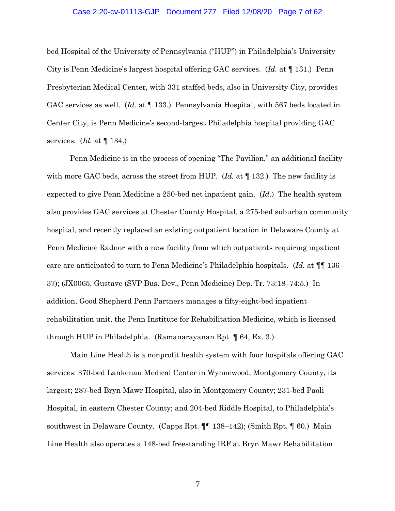# Case 2:20-cv-01113-GJP Document 277 Filed 12/08/20 Page 7 of 62

bed Hospital of the University of Pennsylvania ("HUP") in Philadelphia's University City is Penn Medicine's largest hospital offering GAC services. (*Id.* at ¶ 131.) Penn Presbyterian Medical Center, with 331 staffed beds, also in University City, provides GAC services as well. *(Id.* at  $\P$  133.) Pennsylvania Hospital, with 567 beds located in Center City, is Penn Medicine's second-largest Philadelphia hospital providing GAC services. (*Id.* at ¶ 134.)

Penn Medicine is in the process of opening "The Pavilion," an additional facility with more GAC beds, across the street from HUP. (*Id.* at  $\P$  132.) The new facility is expected to give Penn Medicine a 250-bed net inpatient gain. (*Id.*) The health system also provides GAC services at Chester County Hospital, a 275-bed suburban community hospital, and recently replaced an existing outpatient location in Delaware County at Penn Medicine Radnor with a new facility from which outpatients requiring inpatient care are anticipated to turn to Penn Medicine's Philadelphia hospitals. (*Id.* at ¶¶ 136– 37); (JX0065, Gustave (SVP Bus. Dev., Penn Medicine) Dep. Tr. 73:18–74:5.) In addition, Good Shepherd Penn Partners manages a fifty-eight-bed inpatient rehabilitation unit, the Penn Institute for Rehabilitation Medicine, which is licensed through HUP in Philadelphia. (Ramanarayanan Rpt. ¶ 64, Ex. 3.)

Main Line Health is a nonprofit health system with four hospitals offering GAC services: 370-bed Lankenau Medical Center in Wynnewood, Montgomery County, its largest; 287-bed Bryn Mawr Hospital, also in Montgomery County; 231-bed Paoli Hospital, in eastern Chester County; and 204-bed Riddle Hospital, to Philadelphia's southwest in Delaware County. (Capps Rpt. ¶¶ 138–142); (Smith Rpt. ¶ 60.) Main Line Health also operates a 148-bed freestanding IRF at Bryn Mawr Rehabilitation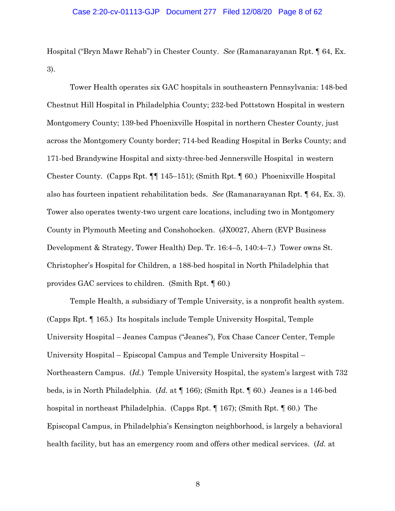# Case 2:20-cv-01113-GJP Document 277 Filed 12/08/20 Page 8 of 62

Hospital ("Bryn Mawr Rehab") in Chester County. *See* (Ramanarayanan Rpt. ¶ 64, Ex. 3).

Tower Health operates six GAC hospitals in southeastern Pennsylvania: 148-bed Chestnut Hill Hospital in Philadelphia County; 232-bed Pottstown Hospital in western Montgomery County; 139-bed Phoenixville Hospital in northern Chester County, just across the Montgomery County border; 714-bed Reading Hospital in Berks County; and 171-bed Brandywine Hospital and sixty-three-bed Jennersville Hospital in western Chester County. (Capps Rpt. ¶¶ 145–151); (Smith Rpt. ¶ 60.) Phoenixville Hospital also has fourteen inpatient rehabilitation beds. *See* (Ramanarayanan Rpt. ¶ 64, Ex. 3). Tower also operates twenty-two urgent care locations, including two in Montgomery County in Plymouth Meeting and Conshohocken. (JX0027, Ahern (EVP Business Development & Strategy, Tower Health) Dep. Tr. 16:4–5, 140:4–7.) Tower owns St. Christopher's Hospital for Children, a 188-bed hospital in North Philadelphia that provides GAC services to children. (Smith Rpt. ¶ 60.)

Temple Health, a subsidiary of Temple University, is a nonprofit health system. (Capps Rpt. ¶ 165.) Its hospitals include Temple University Hospital, Temple University Hospital – Jeanes Campus ("Jeanes"), Fox Chase Cancer Center, Temple University Hospital – Episcopal Campus and Temple University Hospital – Northeastern Campus. (*Id.*) Temple University Hospital, the system's largest with 732 beds, is in North Philadelphia. (*Id.* at ¶ 166); (Smith Rpt. ¶ 60.) Jeanes is a 146-bed hospital in northeast Philadelphia. (Capps Rpt. ¶ 167); (Smith Rpt. ¶ 60.) The Episcopal Campus, in Philadelphia's Kensington neighborhood, is largely a behavioral health facility, but has an emergency room and offers other medical services. (*Id.* at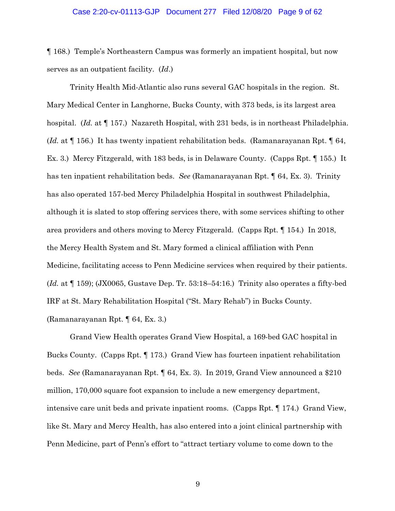#### Case 2:20-cv-01113-GJP Document 277 Filed 12/08/20 Page 9 of 62

¶ 168.) Temple's Northeastern Campus was formerly an impatient hospital, but now serves as an outpatient facility. (*Id*.)

Trinity Health Mid-Atlantic also runs several GAC hospitals in the region. St. Mary Medical Center in Langhorne, Bucks County, with 373 beds, is its largest area hospital. (*Id.* at ¶ 157.) Nazareth Hospital, with 231 beds, is in northeast Philadelphia. (*Id.* at ¶ 156.) It has twenty inpatient rehabilitation beds. (Ramanarayanan Rpt. ¶ 64, Ex. 3.) Mercy Fitzgerald, with 183 beds, is in Delaware County. (Capps Rpt. ¶ 155.) It has ten inpatient rehabilitation beds. *See* (Ramanarayanan Rpt. ¶ 64, Ex. 3). Trinity has also operated 157-bed Mercy Philadelphia Hospital in southwest Philadelphia, although it is slated to stop offering services there, with some services shifting to other area providers and others moving to Mercy Fitzgerald. (Capps Rpt. ¶ 154.) In 2018, the Mercy Health System and St. Mary formed a clinical affiliation with Penn Medicine, facilitating access to Penn Medicine services when required by their patients. (*Id.* at ¶ 159); (JX0065, Gustave Dep. Tr. 53:18–54:16.) Trinity also operates a fifty-bed IRF at St. Mary Rehabilitation Hospital ("St. Mary Rehab") in Bucks County. (Ramanarayanan Rpt. ¶ 64, Ex. 3.)

Grand View Health operates Grand View Hospital, a 169-bed GAC hospital in Bucks County. (Capps Rpt. ¶ 173.) Grand View has fourteen inpatient rehabilitation beds. *See* (Ramanarayanan Rpt. ¶ 64, Ex. 3). In 2019, Grand View announced a \$210 million, 170,000 square foot expansion to include a new emergency department, intensive care unit beds and private inpatient rooms. (Capps Rpt. ¶ 174.) Grand View, like St. Mary and Mercy Health, has also entered into a joint clinical partnership with Penn Medicine, part of Penn's effort to "attract tertiary volume to come down to the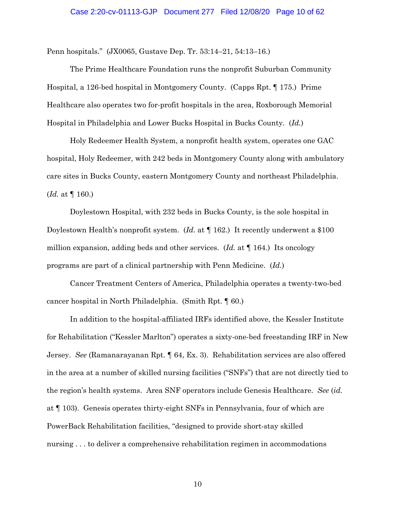Penn hospitals." (JX0065, Gustave Dep. Tr. 53:14–21, 54:13–16.)

The Prime Healthcare Foundation runs the nonprofit Suburban Community Hospital, a 126-bed hospital in Montgomery County. (Capps Rpt. ¶ 175.) Prime Healthcare also operates two for-profit hospitals in the area, Roxborough Memorial Hospital in Philadelphia and Lower Bucks Hospital in Bucks County. (*Id.*)

Holy Redeemer Health System, a nonprofit health system, operates one GAC hospital, Holy Redeemer, with 242 beds in Montgomery County along with ambulatory care sites in Bucks County, eastern Montgomery County and northeast Philadelphia. (*Id.* at ¶ 160.)

Doylestown Hospital, with 232 beds in Bucks County, is the sole hospital in Doylestown Health's nonprofit system. (*Id.* at ¶ 162.) It recently underwent a \$100 million expansion, adding beds and other services. (*Id.* at ¶ 164.) Its oncology programs are part of a clinical partnership with Penn Medicine. (*Id.*)

Cancer Treatment Centers of America, Philadelphia operates a twenty-two-bed cancer hospital in North Philadelphia. (Smith Rpt. ¶ 60.)

In addition to the hospital-affiliated IRFs identified above, the Kessler Institute for Rehabilitation ("Kessler Marlton") operates a sixty-one-bed freestanding IRF in New Jersey. *See* (Ramanarayanan Rpt. ¶ 64, Ex. 3). Rehabilitation services are also offered in the area at a number of skilled nursing facilities ("SNFs") that are not directly tied to the region's health systems. Area SNF operators include Genesis Healthcare. *See* (*id.* at ¶ 103). Genesis operates thirty-eight SNFs in Pennsylvania, four of which are PowerBack Rehabilitation facilities, "designed to provide short-stay skilled nursing . . . to deliver a comprehensive rehabilitation regimen in accommodations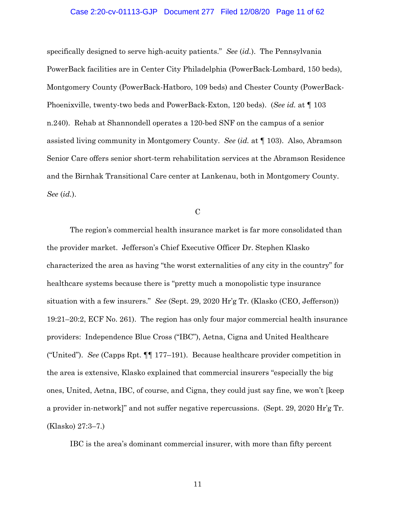## Case 2:20-cv-01113-GJP Document 277 Filed 12/08/20 Page 11 of 62

specifically designed to serve high-acuity patients." *See* (*id.*). The Pennsylvania PowerBack facilities are in Center City Philadelphia (PowerBack-Lombard, 150 beds), Montgomery County (PowerBack-Hatboro, 109 beds) and Chester County (PowerBack-Phoenixville, twenty-two beds and PowerBack-Exton, 120 beds). (*See id.* at ¶ 103 n.240). Rehab at Shannondell operates a 120-bed SNF on the campus of a senior assisted living community in Montgomery County. *See* (*id.* at ¶ 103). Also, Abramson Senior Care offers senior short-term rehabilitation services at the Abramson Residence and the Birnhak Transitional Care center at Lankenau, both in Montgomery County. *See* (*id.*).

C

The region's commercial health insurance market is far more consolidated than the provider market. Jefferson's Chief Executive Officer Dr. Stephen Klasko characterized the area as having "the worst externalities of any city in the country" for healthcare systems because there is "pretty much a monopolistic type insurance situation with a few insurers." *See* (Sept. 29, 2020 Hr'g Tr. (Klasko (CEO, Jefferson)) 19:21–20:2, ECF No. 261). The region has only four major commercial health insurance providers: Independence Blue Cross ("IBC"), Aetna, Cigna and United Healthcare ("United"). *See* (Capps Rpt. ¶¶ 177–191). Because healthcare provider competition in the area is extensive, Klasko explained that commercial insurers "especially the big ones, United, Aetna, IBC, of course, and Cigna, they could just say fine, we won't [keep a provider in-network]" and not suffer negative repercussions. (Sept. 29, 2020 Hr'g Tr. (Klasko) 27:3–7.)

IBC is the area's dominant commercial insurer, with more than fifty percent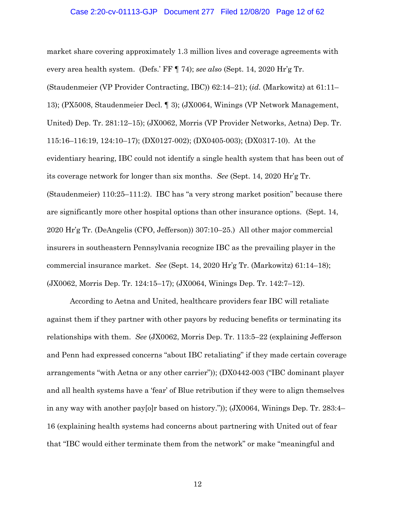## Case 2:20-cv-01113-GJP Document 277 Filed 12/08/20 Page 12 of 62

market share covering approximately 1.3 million lives and coverage agreements with every area health system. (Defs.' FF ¶ 74); *see also* (Sept. 14, 2020 Hr'g Tr. (Staudenmeier (VP Provider Contracting, IBC)) 62:14–21); (*id.* (Markowitz) at 61:11– 13); (PX5008, Staudenmeier Decl. ¶ 3); (JX0064, Winings (VP Network Management, United) Dep. Tr. 281:12–15); (JX0062, Morris (VP Provider Networks, Aetna) Dep. Tr. 115:16–116:19, 124:10–17); (DX0127-002); (DX0405-003); (DX0317-10). At the evidentiary hearing, IBC could not identify a single health system that has been out of its coverage network for longer than six months. *See* (Sept. 14, 2020 Hr'g Tr. (Staudenmeier) 110:25–111:2). IBC has "a very strong market position" because there are significantly more other hospital options than other insurance options. (Sept. 14, 2020 Hr'g Tr. (DeAngelis (CFO, Jefferson)) 307:10–25.) All other major commercial insurers in southeastern Pennsylvania recognize IBC as the prevailing player in the commercial insurance market. *See* (Sept. 14, 2020 Hr'g Tr. (Markowitz) 61:14–18); (JX0062, Morris Dep. Tr. 124:15–17); (JX0064, Winings Dep. Tr. 142:7–12).

According to Aetna and United, healthcare providers fear IBC will retaliate against them if they partner with other payors by reducing benefits or terminating its relationships with them. *See* (JX0062, Morris Dep. Tr. 113:5–22 (explaining Jefferson and Penn had expressed concerns "about IBC retaliating" if they made certain coverage arrangements "with Aetna or any other carrier")); (DX0442-003 ("IBC dominant player and all health systems have a 'fear' of Blue retribution if they were to align themselves in any way with another pay[o]r based on history.")); (JX0064, Winings Dep. Tr. 283:4– 16 (explaining health systems had concerns about partnering with United out of fear that "IBC would either terminate them from the network" or make "meaningful and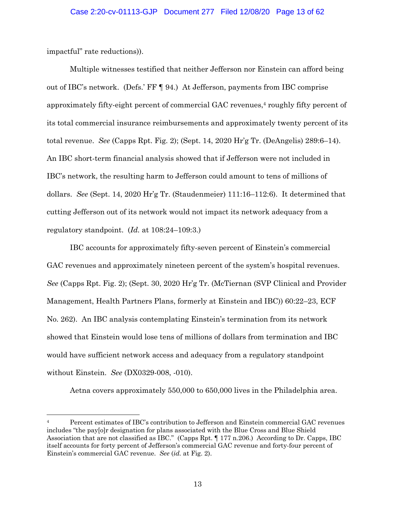impactful" rate reductions)).

Multiple witnesses testified that neither Jefferson nor Einstein can afford being out of IBC's network. (Defs.' FF ¶ 94.) At Jefferson, payments from IBC comprise approximately fifty-eight percent of commercial GAC revenues,4 roughly fifty percent of its total commercial insurance reimbursements and approximately twenty percent of its total revenue. *See* (Capps Rpt. Fig. 2); (Sept. 14, 2020 Hr'g Tr. (DeAngelis) 289:6–14). An IBC short-term financial analysis showed that if Jefferson were not included in IBC's network, the resulting harm to Jefferson could amount to tens of millions of dollars. *See* (Sept. 14, 2020 Hr'g Tr. (Staudenmeier) 111:16–112:6). It determined that cutting Jefferson out of its network would not impact its network adequacy from a regulatory standpoint. (*Id.* at 108:24–109:3.)

IBC accounts for approximately fifty-seven percent of Einstein's commercial GAC revenues and approximately nineteen percent of the system's hospital revenues. *See* (Capps Rpt. Fig. 2); (Sept. 30, 2020 Hr'g Tr. (McTiernan (SVP Clinical and Provider Management, Health Partners Plans, formerly at Einstein and IBC)) 60:22–23, ECF No. 262). An IBC analysis contemplating Einstein's termination from its network showed that Einstein would lose tens of millions of dollars from termination and IBC would have sufficient network access and adequacy from a regulatory standpoint without Einstein. *See* (DX0329-008, -010).

Aetna covers approximately 550,000 to 650,000 lives in the Philadelphia area.

<sup>4</sup> Percent estimates of IBC's contribution to Jefferson and Einstein commercial GAC revenues includes "the pay[o]r designation for plans associated with the Blue Cross and Blue Shield Association that are not classified as IBC." (Capps Rpt. ¶ 177 n.206.) According to Dr. Capps, IBC itself accounts for forty percent of Jefferson's commercial GAC revenue and forty-four percent of Einstein's commercial GAC revenue. *See* (*id.* at Fig. 2).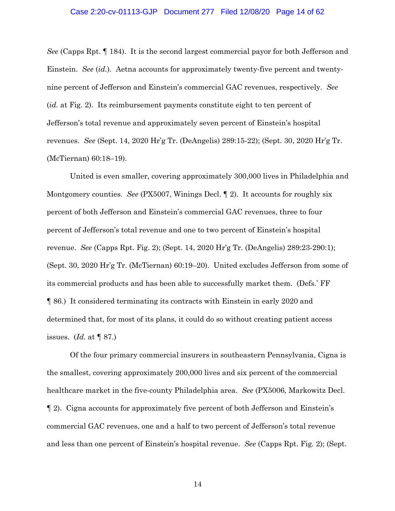*See* (Capps Rpt. ¶ 184). It is the second largest commercial payor for both Jefferson and Einstein. *See* (*id.*). Aetna accounts for approximately twenty-five percent and twentynine percent of Jefferson and Einstein's commercial GAC revenues, respectively. *See* (*id.* at Fig. 2). Its reimbursement payments constitute eight to ten percent of Jefferson's total revenue and approximately seven percent of Einstein's hospital revenues. *See* (Sept. 14, 2020 Hr'g Tr. (DeAngelis) 289:15-22); (Sept. 30, 2020 Hr'g Tr. (McTiernan) 60:18–19).

United is even smaller, covering approximately 300,000 lives in Philadelphia and Montgomery counties. *See* (PX5007, Winings Decl. ¶ 2). It accounts for roughly six percent of both Jefferson and Einstein's commercial GAC revenues, three to four percent of Jefferson's total revenue and one to two percent of Einstein's hospital revenue. *See* (Capps Rpt. Fig. 2); (Sept. 14, 2020 Hr'g Tr. (DeAngelis) 289:23-290:1); (Sept. 30, 2020 Hr'g Tr. (McTiernan) 60:19–20). United excludes Jefferson from some of its commercial products and has been able to successfully market them. (Defs.' FF ¶ 86.) It considered terminating its contracts with Einstein in early 2020 and determined that, for most of its plans, it could do so without creating patient access issues. (*Id.* at ¶ 87.)

Of the four primary commercial insurers in southeastern Pennsylvania, Cigna is the smallest, covering approximately 200,000 lives and six percent of the commercial healthcare market in the five-county Philadelphia area. *See* (PX5006, Markowitz Decl. ¶ 2). Cigna accounts for approximately five percent of both Jefferson and Einstein's commercial GAC revenues, one and a half to two percent of Jefferson's total revenue and less than one percent of Einstein's hospital revenue.*See* (Capps Rpt. Fig. 2); (Sept.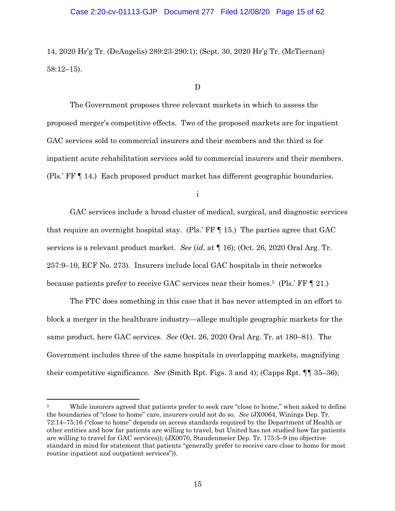## Case 2:20-cv-01113-GJP Document 277 Filed 12/08/20 Page 15 of 62

14, 2020 Hr'g Tr. (DeAngelis) 289:23-290:1); (Sept. 30, 2020 Hr'g Tr. (McTiernan) 58:12–15).

#### D

The Government proposes three relevant markets in which to assess the proposed merger's competitive effects. Two of the proposed markets are for inpatient GAC services sold to commercial insurers and their members and the third is for inpatient acute rehabilitation services sold to commercial insurers and their members. (Pls.' FF ¶ 14.) Each proposed product market has different geographic boundaries.

i

GAC services include a broad cluster of medical, surgical, and diagnostic services that require an overnight hospital stay. (Pls.  $\overline{F}F \parallel 15$ .) The parties agree that GAC services is a relevant product market. *See* (*id.* at ¶ 16); (Oct. 26, 2020 Oral Arg. Tr. 257:9–10, ECF No. 273). Insurers include local GAC hospitals in their networks because patients prefer to receive GAC services near their homes.<sup>5</sup> (Pls.' FF [ 21.)

The FTC does something in this case that it has never attempted in an effort to block a merger in the healthcare industry—allege multiple geographic markets for the same product, here GAC services. *See* (Oct. 26, 2020 Oral Arg. Tr. at 180–81). The Government includes three of the same hospitals in overlapping markets, magnifying their competitive significance. *See* (Smith Rpt. Figs. 3 and 4); (Capps Rpt. ¶¶ 35–36);

<sup>&</sup>lt;sup>5</sup> While insurers agreed that patients prefer to seek care "close to home," when asked to define the boundaries of "close to home" care, insurers could not do so. *See* (JX0064, Winings Dep. Tr. 72:14–75:16 ("close to home" depends on access standards required by the Department of Health or other entities and how far patients are willing to travel, but United has not studied how far patients are willing to travel for GAC services)); (JX0070, Staudenmeier Dep. Tr. 175:5–9 (no objective standard in mind for statement that patients "generally prefer to receive care close to home for most routine inpatient and outpatient services")).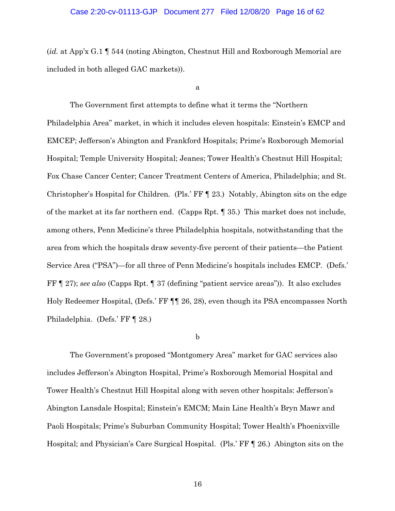## Case 2:20-cv-01113-GJP Document 277 Filed 12/08/20 Page 16 of 62

(*id.* at App'x G.1 ¶ 544 (noting Abington, Chestnut Hill and Roxborough Memorial are included in both alleged GAC markets)).

a

The Government first attempts to define what it terms the "Northern Philadelphia Area" market, in which it includes eleven hospitals: Einstein's EMCP and EMCEP; Jefferson's Abington and Frankford Hospitals; Prime's Roxborough Memorial Hospital; Temple University Hospital; Jeanes; Tower Health's Chestnut Hill Hospital; Fox Chase Cancer Center; Cancer Treatment Centers of America, Philadelphia; and St. Christopher's Hospital for Children. (Pls.' FF ¶ 23.) Notably, Abington sits on the edge of the market at its far northern end. (Capps Rpt. ¶ 35.) This market does not include, among others, Penn Medicine's three Philadelphia hospitals, notwithstanding that the area from which the hospitals draw seventy-five percent of their patients—the Patient Service Area ("PSA")—for all three of Penn Medicine's hospitals includes EMCP. (Defs.' FF ¶ 27); *see also* (Capps Rpt. ¶ 37 (defining "patient service areas")). It also excludes Holy Redeemer Hospital, (Defs.' FF ¶¶ 26, 28), even though its PSA encompasses North Philadelphia. (Defs.' FF ¶ 28.)

## b

The Government's proposed "Montgomery Area" market for GAC services also includes Jefferson's Abington Hospital, Prime's Roxborough Memorial Hospital and Tower Health's Chestnut Hill Hospital along with seven other hospitals: Jefferson's Abington Lansdale Hospital; Einstein's EMCM; Main Line Health's Bryn Mawr and Paoli Hospitals; Prime's Suburban Community Hospital; Tower Health's Phoenixville Hospital; and Physician's Care Surgical Hospital. (Pls.' FF ¶ 26.) Abington sits on the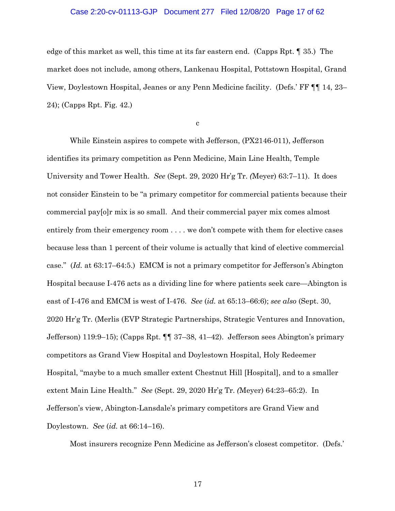## Case 2:20-cv-01113-GJP Document 277 Filed 12/08/20 Page 17 of 62

edge of this market as well, this time at its far eastern end. (Capps Rpt. ¶ 35.) The market does not include, among others, Lankenau Hospital, Pottstown Hospital, Grand View, Doylestown Hospital, Jeanes or any Penn Medicine facility. (Defs.' FF ¶¶ 14, 23– 24); (Capps Rpt. Fig. 42.)

c

While Einstein aspires to compete with Jefferson, (PX2146-011), Jefferson identifies its primary competition as Penn Medicine, Main Line Health, Temple University and Tower Health. *See* (Sept. 29, 2020 Hr'g Tr. *(*Meyer) 63:7–11). It does not consider Einstein to be "a primary competitor for commercial patients because their commercial pay[o]r mix is so small. And their commercial payer mix comes almost entirely from their emergency room . . . . we don't compete with them for elective cases because less than 1 percent of their volume is actually that kind of elective commercial case." (*Id.* at 63:17–64:5.) EMCM is not a primary competitor for Jefferson's Abington Hospital because I-476 acts as a dividing line for where patients seek care—Abington is east of I-476 and EMCM is west of I-476. *See* (*id.* at 65:13–66:6); *see also* (Sept. 30, 2020 Hr'g Tr. (Merlis (EVP Strategic Partnerships, Strategic Ventures and Innovation, Jefferson) 119:9–15); (Capps Rpt. ¶¶ 37–38, 41–42). Jefferson sees Abington's primary competitors as Grand View Hospital and Doylestown Hospital, Holy Redeemer Hospital, "maybe to a much smaller extent Chestnut Hill [Hospital], and to a smaller extent Main Line Health." *See* (Sept. 29, 2020 Hr'g Tr. *(*Meyer) 64:23–65:2). In Jefferson's view, Abington-Lansdale's primary competitors are Grand View and Doylestown. *See* (*id.* at 66:14–16).

Most insurers recognize Penn Medicine as Jefferson's closest competitor. (Defs.'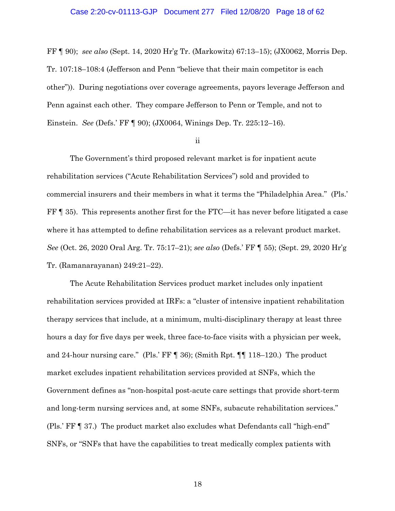#### Case 2:20-cv-01113-GJP Document 277 Filed 12/08/20 Page 18 of 62

FF ¶ 90); *see also* (Sept. 14, 2020 Hr'g Tr. (Markowitz) 67:13–15); (JX0062, Morris Dep. Tr. 107:18–108:4 (Jefferson and Penn "believe that their main competitor is each other")). During negotiations over coverage agreements, payors leverage Jefferson and Penn against each other. They compare Jefferson to Penn or Temple, and not to Einstein. *See* (Defs.' FF ¶ 90); (JX0064, Winings Dep. Tr. 225:12–16).

#### ii

The Government's third proposed relevant market is for inpatient acute rehabilitation services ("Acute Rehabilitation Services") sold and provided to commercial insurers and their members in what it terms the "Philadelphia Area." (Pls.' FF ¶ 35). This represents another first for the FTC—it has never before litigated a case where it has attempted to define rehabilitation services as a relevant product market. *See* (Oct. 26, 2020 Oral Arg. Tr. 75:17–21); *see also* (Defs.' FF ¶ 55); (Sept. 29, 2020 Hr'g Tr. (Ramanarayanan) 249:21–22).

The Acute Rehabilitation Services product market includes only inpatient rehabilitation services provided at IRFs: a "cluster of intensive inpatient rehabilitation therapy services that include, at a minimum, multi-disciplinary therapy at least three hours a day for five days per week, three face-to-face visits with a physician per week, and 24-hour nursing care." (Pls.' FF ¶ 36); (Smith Rpt. ¶¶ 118–120.) The product market excludes inpatient rehabilitation services provided at SNFs, which the Government defines as "non-hospital post-acute care settings that provide short-term and long-term nursing services and, at some SNFs, subacute rehabilitation services." (Pls.' FF ¶ 37.) The product market also excludes what Defendants call "high-end" SNFs, or "SNFs that have the capabilities to treat medically complex patients with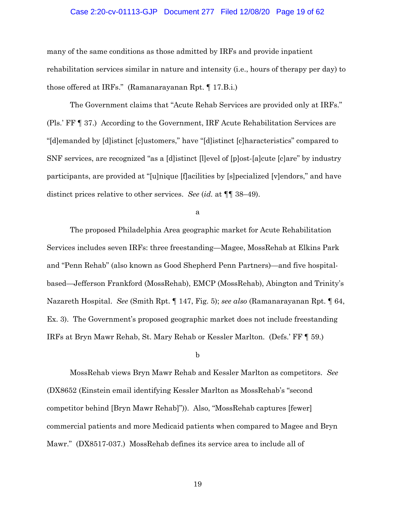## Case 2:20-cv-01113-GJP Document 277 Filed 12/08/20 Page 19 of 62

many of the same conditions as those admitted by IRFs and provide inpatient rehabilitation services similar in nature and intensity (i.e., hours of therapy per day) to those offered at IRFs." (Ramanarayanan Rpt. ¶ 17.B.i.)

The Government claims that "Acute Rehab Services are provided only at IRFs." (Pls.' FF ¶ 37.) According to the Government, IRF Acute Rehabilitation Services are "[d]emanded by [d]istinct [c]ustomers," have "[d]istinct [c]haracteristics" compared to SNF services, are recognized "as a [d]istinct [l]evel of [p]ost-[a]cute [c]are" by industry participants, are provided at "[u]nique [f]acilities by [s]pecialized [v]endors," and have distinct prices relative to other services. *See* (*id.* at ¶¶ 38–49).

a

The proposed Philadelphia Area geographic market for Acute Rehabilitation Services includes seven IRFs: three freestanding—Magee, MossRehab at Elkins Park and "Penn Rehab" (also known as Good Shepherd Penn Partners)—and five hospitalbased—Jefferson Frankford (MossRehab), EMCP (MossRehab), Abington and Trinity's Nazareth Hospital. *See* (Smith Rpt. ¶ 147, Fig. 5); *see also* (Ramanarayanan Rpt. ¶ 64, Ex. 3). The Government's proposed geographic market does not include freestanding IRFs at Bryn Mawr Rehab, St. Mary Rehab or Kessler Marlton. (Defs.' FF ¶ 59.)

#### b

MossRehab views Bryn Mawr Rehab and Kessler Marlton as competitors. *See* (DX8652 (Einstein email identifying Kessler Marlton as MossRehab's "second competitor behind [Bryn Mawr Rehab]")). Also, "MossRehab captures [fewer] commercial patients and more Medicaid patients when compared to Magee and Bryn Mawr." (DX8517-037.) MossRehab defines its service area to include all of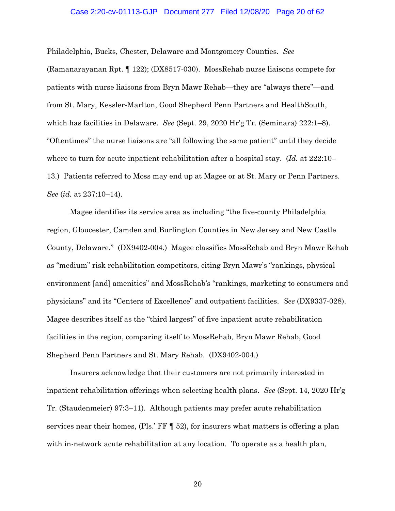### Case 2:20-cv-01113-GJP Document 277 Filed 12/08/20 Page 20 of 62

Philadelphia, Bucks, Chester, Delaware and Montgomery Counties. *See*  (Ramanarayanan Rpt. ¶ 122); (DX8517-030). MossRehab nurse liaisons compete for patients with nurse liaisons from Bryn Mawr Rehab—they are "always there"—and from St. Mary, Kessler-Marlton, Good Shepherd Penn Partners and HealthSouth, which has facilities in Delaware. *See* (Sept. 29, 2020 Hr'g Tr. (Seminara) 222:1–8). "Oftentimes" the nurse liaisons are "all following the same patient" until they decide where to turn for acute inpatient rehabilitation after a hospital stay. (*Id.* at 222:10– 13.) Patients referred to Moss may end up at Magee or at St. Mary or Penn Partners. *See* (*id.* at 237:10–14).

Magee identifies its service area as including "the five-county Philadelphia region, Gloucester, Camden and Burlington Counties in New Jersey and New Castle County, Delaware." (DX9402-004.) Magee classifies MossRehab and Bryn Mawr Rehab as "medium" risk rehabilitation competitors, citing Bryn Mawr's "rankings, physical environment [and] amenities" and MossRehab's "rankings, marketing to consumers and physicians" and its "Centers of Excellence" and outpatient facilities. *See* (DX9337-028). Magee describes itself as the "third largest" of five inpatient acute rehabilitation facilities in the region, comparing itself to MossRehab, Bryn Mawr Rehab, Good Shepherd Penn Partners and St. Mary Rehab. (DX9402-004.)

Insurers acknowledge that their customers are not primarily interested in inpatient rehabilitation offerings when selecting health plans. *See* (Sept. 14, 2020 Hr'g Tr. (Staudenmeier) 97:3–11). Although patients may prefer acute rehabilitation services near their homes, (Pls.' FF  $\P$  52), for insurers what matters is offering a plan with in-network acute rehabilitation at any location. To operate as a health plan,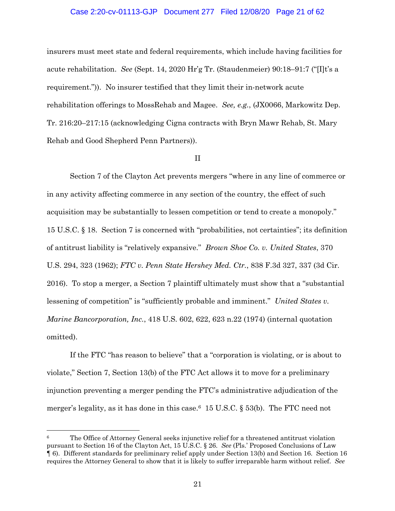## Case 2:20-cv-01113-GJP Document 277 Filed 12/08/20 Page 21 of 62

insurers must meet state and federal requirements, which include having facilities for acute rehabilitation. *See* (Sept. 14, 2020 Hr'g Tr. (Staudenmeier) 90:18–91:7 ("[I]t's a requirement.")). No insurer testified that they limit their in-network acute rehabilitation offerings to MossRehab and Magee. *See, e.g.*, (JX0066, Markowitz Dep. Tr. 216:20–217:15 (acknowledging Cigna contracts with Bryn Mawr Rehab, St. Mary Rehab and Good Shepherd Penn Partners)).

#### II

Section 7 of the Clayton Act prevents mergers "where in any line of commerce or in any activity affecting commerce in any section of the country, the effect of such acquisition may be substantially to lessen competition or tend to create a monopoly." 15 U.S.C. § 18. Section 7 is concerned with "probabilities, not certainties"; its definition of antitrust liability is "relatively expansive." *Brown Shoe Co. v. United States*, 370 U.S. 294, 323 (1962); *FTC v. Penn State Hershey Med. Ctr.*, 838 F.3d 327, 337 (3d Cir. 2016). To stop a merger, a Section 7 plaintiff ultimately must show that a "substantial lessening of competition" is "sufficiently probable and imminent." *United States v. Marine Bancorporation, Inc.*, 418 U.S. 602, 622, 623 n.22 (1974) (internal quotation omitted).

If the FTC "has reason to believe" that a "corporation is violating, or is about to violate," Section 7, Section 13(b) of the FTC Act allows it to move for a preliminary injunction preventing a merger pending the FTC's administrative adjudication of the merger's legality, as it has done in this case.<sup>6</sup> 15 U.S.C.  $\S$  53(b). The FTC need not

The Office of Attorney General seeks injunctive relief for a threatened antitrust violation pursuant to Section 16 of the Clayton Act, 15 U.S.C. § 26. *See* (Pls.' Proposed Conclusions of Law ¶ 6). Different standards for preliminary relief apply under Section 13(b) and Section 16. Section 16 requires the Attorney General to show that it is likely to suffer irreparable harm without relief. *See*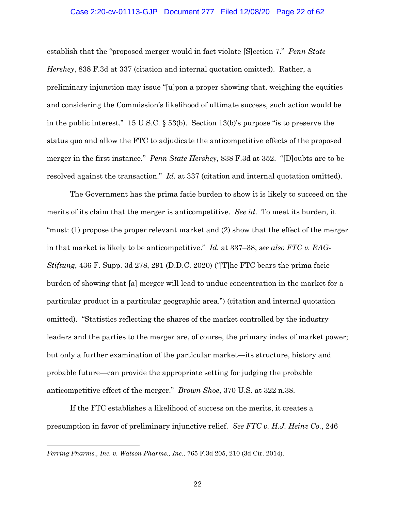# Case 2:20-cv-01113-GJP Document 277 Filed 12/08/20 Page 22 of 62

establish that the "proposed merger would in fact violate [S]ection 7." *Penn State Hershey*, 838 F.3d at 337 (citation and internal quotation omitted). Rather, a preliminary injunction may issue "[u]pon a proper showing that, weighing the equities and considering the Commission's likelihood of ultimate success, such action would be in the public interest." 15 U.S.C. § 53(b). Section 13(b)'s purpose "is to preserve the status quo and allow the FTC to adjudicate the anticompetitive effects of the proposed merger in the first instance." *Penn State Hershey*, 838 F.3d at 352. "[D]oubts are to be resolved against the transaction." *Id.* at 337 (citation and internal quotation omitted).

The Government has the prima facie burden to show it is likely to succeed on the merits of its claim that the merger is anticompetitive. *See id*. To meet its burden, it "must: (1) propose the proper relevant market and (2) show that the effect of the merger in that market is likely to be anticompetitive." *Id.* at 337–38; *see also FTC v. RAG-Stiftung*, 436 F. Supp. 3d 278, 291 (D.D.C. 2020) ("[T]he FTC bears the prima facie burden of showing that [a] merger will lead to undue concentration in the market for a particular product in a particular geographic area.") (citation and internal quotation omitted). "Statistics reflecting the shares of the market controlled by the industry leaders and the parties to the merger are, of course, the primary index of market power; but only a further examination of the particular market—its structure, history and probable future—can provide the appropriate setting for judging the probable anticompetitive effect of the merger." *Brown Shoe*, 370 U.S. at 322 n.38.

If the FTC establishes a likelihood of success on the merits, it creates a presumption in favor of preliminary injunctive relief. *See FTC v. H.J. Heinz Co.*, 246

*Ferring Pharms., Inc. v. Watson Pharms., Inc.*, 765 F.3d 205, 210 (3d Cir. 2014).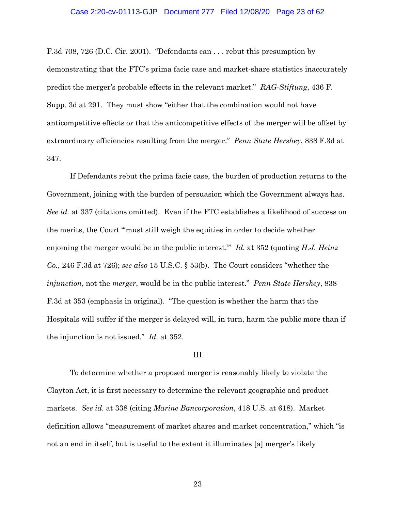#### Case 2:20-cv-01113-GJP Document 277 Filed 12/08/20 Page 23 of 62

F.3d 708, 726 (D.C. Cir. 2001). "Defendants can . . . rebut this presumption by demonstrating that the FTC's prima facie case and market-share statistics inaccurately predict the merger's probable effects in the relevant market." *RAG-Stiftung*, 436 F. Supp. 3d at 291. They must show "either that the combination would not have anticompetitive effects or that the anticompetitive effects of the merger will be offset by extraordinary efficiencies resulting from the merger." *Penn State Hershey*, 838 F.3d at 347.

If Defendants rebut the prima facie case, the burden of production returns to the Government, joining with the burden of persuasion which the Government always has. *See id.* at 337 (citations omitted). Even if the FTC establishes a likelihood of success on the merits, the Court "'must still weigh the equities in order to decide whether enjoining the merger would be in the public interest.'" *Id.* at 352 (quoting *H.J. Heinz Co.*, 246 F.3d at 726); *see also* 15 U.S.C. § 53(b). The Court considers "whether the *injunction*, not the *merger*, would be in the public interest." *Penn State Hershey*, 838 F.3d at 353 (emphasis in original). "The question is whether the harm that the Hospitals will suffer if the merger is delayed will, in turn, harm the public more than if the injunction is not issued." *Id.* at 352.

#### III

To determine whether a proposed merger is reasonably likely to violate the Clayton Act, it is first necessary to determine the relevant geographic and product markets. *See id.* at 338 (citing *Marine Bancorporation*, 418 U.S. at 618). Market definition allows "measurement of market shares and market concentration," which "is not an end in itself, but is useful to the extent it illuminates [a] merger's likely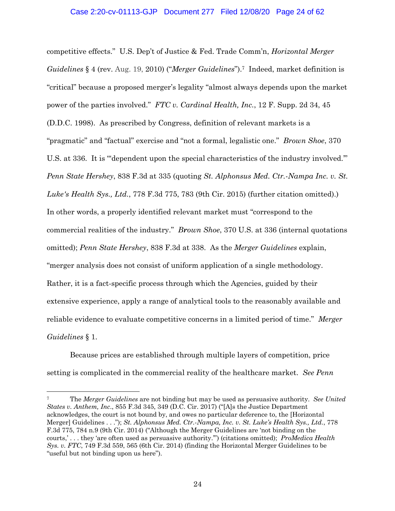competitive effects." U.S. Dep't of Justice & Fed. Trade Comm'n, *Horizontal Merger Guidelines* § 4 (rev. Aug. 19, 2010) ("*Merger Guidelines*"). 7 Indeed, market definition is "critical" because a proposed merger's legality "almost always depends upon the market power of the parties involved." *FTC v. Cardinal Health, Inc.*, 12 F. Supp. 2d 34, 45 (D.D.C. 1998).As prescribed by Congress, definition of relevant markets is a "pragmatic" and "factual" exercise and "not a formal, legalistic one." *Brown Shoe*, 370 U.S. at 336. It is "'dependent upon the special characteristics of the industry involved.'" *Penn State Hershey*, 838 F.3d at 335 (quoting *St. Alphonsus Med. Ctr.-Nampa Inc. v. St. Luke's Health Sys., Ltd.*, 778 F.3d 775, 783 (9th Cir. 2015) (further citation omitted).) In other words, a properly identified relevant market must "correspond to the commercial realities of the industry." *Brown Shoe*, 370 U.S. at 336 (internal quotations omitted); *Penn State Hershey*, 838 F.3d at 338. As the *Merger Guidelines* explain, "merger analysis does not consist of uniform application of a single methodology. Rather, it is a fact-specific process through which the Agencies, guided by their extensive experience, apply a range of analytical tools to the reasonably available and reliable evidence to evaluate competitive concerns in a limited period of time." *Merger Guidelines* § 1.

Because prices are established through multiple layers of competition, price setting is complicated in the commercial reality of the healthcare market. *See Penn* 

<sup>7</sup> The *Merger Guidelines* are not binding but may be used as persuasive authority. *See United States v. Anthem, Inc*., 855 F.3d 345, 349 (D.C. Cir. 2017) ("[A]s the Justice Department acknowledges, the court is not bound by, and owes no particular deference to, the [Horizontal Merger] Guidelines . . ."); *St. Alphonsus Med. Ctr.-Nampa, Inc. v. St. Luke's Health Sys., Ltd.*, 778 F.3d 775, 784 n.9 (9th Cir. 2014) ("Although the Merger Guidelines are 'not binding on the courts,' . . . they 'are often used as persuasive authority.'") (citations omitted); *ProMedica Health Sys. v. FTC*, 749 F.3d 559, 565 (6th Cir. 2014) (finding the Horizontal Merger Guidelines to be "useful but not binding upon us here").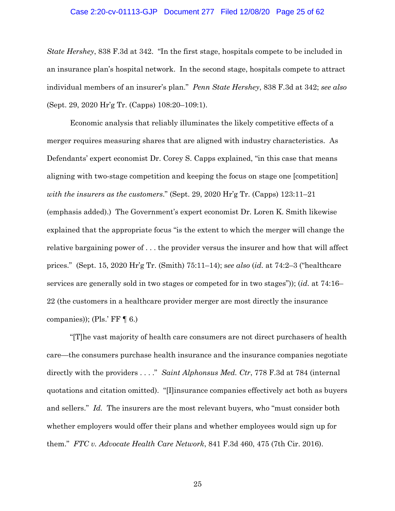# Case 2:20-cv-01113-GJP Document 277 Filed 12/08/20 Page 25 of 62

*State Hershey*, 838 F.3d at 342. "In the first stage, hospitals compete to be included in an insurance plan's hospital network. In the second stage, hospitals compete to attract individual members of an insurer's plan." *Penn State Hershey*, 838 F.3d at 342; *see also*  (Sept. 29, 2020 Hr'g Tr. (Capps) 108:20–109:1).

Economic analysis that reliably illuminates the likely competitive effects of a merger requires measuring shares that are aligned with industry characteristics. As Defendants' expert economist Dr. Corey S. Capps explained, "in this case that means aligning with two-stage competition and keeping the focus on stage one [competition] *with the insurers as the customers*." (Sept. 29, 2020 Hr'g Tr. (Capps) 123:11–21 (emphasis added).) The Government's expert economist Dr. Loren K. Smith likewise explained that the appropriate focus "is the extent to which the merger will change the relative bargaining power of . . . the provider versus the insurer and how that will affect prices." (Sept. 15, 2020 Hr'g Tr. (Smith) 75:11–14); s*ee also* (*id.* at 74:2–3 ("healthcare services are generally sold in two stages or competed for in two stages")); (*id.* at 74:16– 22 (the customers in a healthcare provider merger are most directly the insurance companies)); (Pls.' FF  $\P$  6.)

"[T]he vast majority of health care consumers are not direct purchasers of health care—the consumers purchase health insurance and the insurance companies negotiate directly with the providers . . . ." *Saint Alphonsus Med. Ctr*, 778 F.3d at 784 (internal quotations and citation omitted). "[I]insurance companies effectively act both as buyers and sellers." *Id.* The insurers are the most relevant buyers, who "must consider both whether employers would offer their plans and whether employees would sign up for them." *FTC v. Advocate Health Care Network*, 841 F.3d 460, 475 (7th Cir. 2016).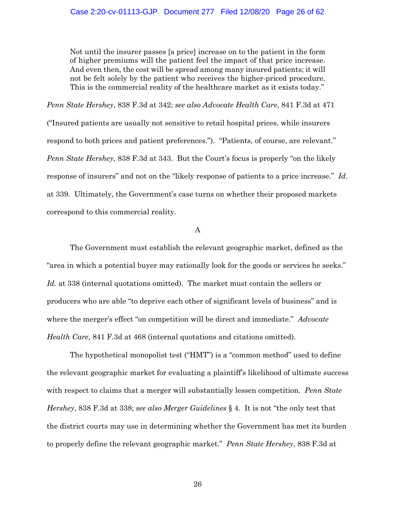Not until the insurer passes [a price] increase on to the patient in the form of higher premiums will the patient feel the impact of that price increase. And even then, the cost will be spread among many insured patients; it will not be felt solely by the patient who receives the higher-priced procedure. This is the commercial reality of the healthcare market as it exists today."

*Penn State Hershey*, 838 F.3d at 342; *see also Advocate Health Care*, 841 F.3d at 471 ("Insured patients are usually not sensitive to retail hospital prices, while insurers respond to both prices and patient preferences."). "Patients, of course, are relevant." *Penn State Hershey*, 838 F.3d at 343. But the Court's focus is properly "on the likely response of insurers" and not on the "likely response of patients to a price increase." *Id.*  at 339. Ultimately, the Government's case turns on whether their proposed markets correspond to this commercial reality.

A

The Government must establish the relevant geographic market, defined as the "area in which a potential buyer may rationally look for the goods or services he seeks." *Id.* at 338 (internal quotations omitted). The market must contain the sellers or producers who are able "to deprive each other of significant levels of business" and is where the merger's effect "on competition will be direct and immediate." *Advocate Health Care*, 841 F.3d at 468 (internal quotations and citations omitted).

The hypothetical monopolist test ("HMT") is a "common method" used to define the relevant geographic market for evaluating a plaintiff's likelihood of ultimate success with respect to claims that a merger will substantially lessen competition*. Penn State Hershey*, 838 F.3d at 338; *see also Merger Guidelines* § 4. It is not "the only test that the district courts may use in determining whether the Government has met its burden to properly define the relevant geographic market." *Penn State Hershey*, 838 F.3d at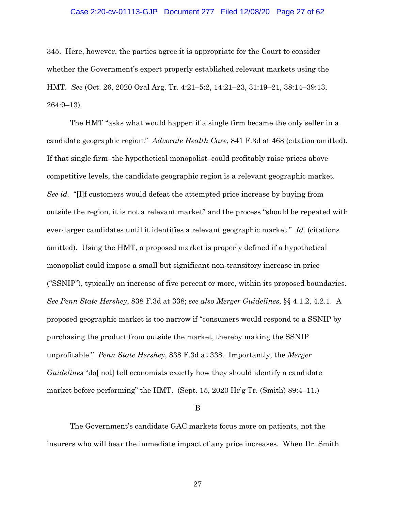# Case 2:20-cv-01113-GJP Document 277 Filed 12/08/20 Page 27 of 62

345. Here, however, the parties agree it is appropriate for the Court to consider whether the Government's expert properly established relevant markets using the HMT. *See* (Oct. 26, 2020 Oral Arg. Tr. 4:21–5:2, 14:21–23, 31:19–21, 38:14–39:13, 264:9–13).

The HMT "asks what would happen if a single firm became the only seller in a candidate geographic region." *Advocate Health Care*, 841 F.3d at 468 (citation omitted). If that single firm–the hypothetical monopolist–could profitably raise prices above competitive levels, the candidate geographic region is a relevant geographic market. *See id.* "[I]f customers would defeat the attempted price increase by buying from outside the region, it is not a relevant market" and the process "should be repeated with ever-larger candidates until it identifies a relevant geographic market." *Id.* (citations omitted). Using the HMT, a proposed market is properly defined if a hypothetical monopolist could impose a small but significant non-transitory increase in price ("SSNIP"), typically an increase of five percent or more, within its proposed boundaries. *See Penn State Hershey*, 838 F.3d at 338; *see also Merger Guidelines*, §§ 4.1.2, 4.2.1. A proposed geographic market is too narrow if "consumers would respond to a SSNIP by purchasing the product from outside the market, thereby making the SSNIP unprofitable." *Penn State Hershey*, 838 F.3d at 338. Importantly, the *Merger Guidelines* "do[ not] tell economists exactly how they should identify a candidate market before performing" the HMT. (Sept. 15, 2020 Hr'g Tr. (Smith) 89:4–11.)

B

The Government's candidate GAC markets focus more on patients, not the insurers who will bear the immediate impact of any price increases. When Dr. Smith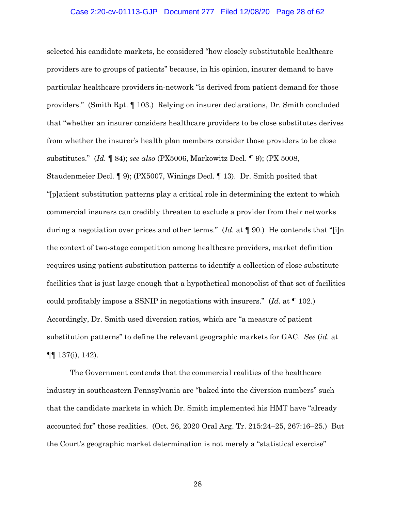#### Case 2:20-cv-01113-GJP Document 277 Filed 12/08/20 Page 28 of 62

selected his candidate markets, he considered "how closely substitutable healthcare providers are to groups of patients" because, in his opinion, insurer demand to have particular healthcare providers in-network "is derived from patient demand for those providers." (Smith Rpt. ¶ 103.) Relying on insurer declarations, Dr. Smith concluded that "whether an insurer considers healthcare providers to be close substitutes derives from whether the insurer's health plan members consider those providers to be close substitutes." (*Id.* ¶ 84); *see also* (PX5006, Markowitz Decl. ¶ 9); (PX 5008, Staudenmeier Decl. ¶ 9); (PX5007, Winings Decl. ¶ 13). Dr. Smith posited that "[p]atient substitution patterns play a critical role in determining the extent to which commercial insurers can credibly threaten to exclude a provider from their networks during a negotiation over prices and other terms." (*Id.* at ¶ 90.) He contends that "[i]n the context of two-stage competition among healthcare providers, market definition requires using patient substitution patterns to identify a collection of close substitute facilities that is just large enough that a hypothetical monopolist of that set of facilities could profitably impose a SSNIP in negotiations with insurers." (*Id.* at ¶ 102.) Accordingly, Dr. Smith used diversion ratios, which are "a measure of patient substitution patterns" to define the relevant geographic markets for GAC. *See* (*id.* at ¶¶ 137(i), 142).

The Government contends that the commercial realities of the healthcare industry in southeastern Pennsylvania are "baked into the diversion numbers" such that the candidate markets in which Dr. Smith implemented his HMT have "already accounted for" those realities. (Oct. 26, 2020 Oral Arg. Tr. 215:24–25, 267:16–25.) But the Court's geographic market determination is not merely a "statistical exercise"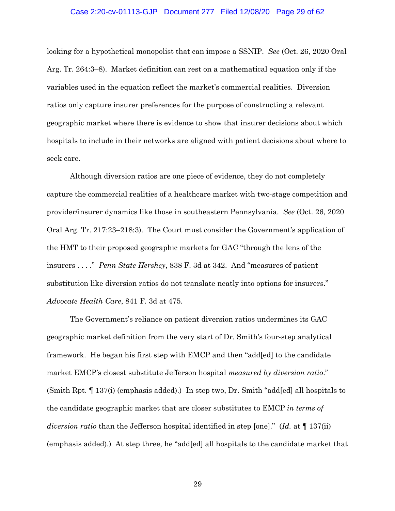#### Case 2:20-cv-01113-GJP Document 277 Filed 12/08/20 Page 29 of 62

looking for a hypothetical monopolist that can impose a SSNIP. *See* (Oct. 26, 2020 Oral Arg. Tr. 264:3–8). Market definition can rest on a mathematical equation only if the variables used in the equation reflect the market's commercial realities. Diversion ratios only capture insurer preferences for the purpose of constructing a relevant geographic market where there is evidence to show that insurer decisions about which hospitals to include in their networks are aligned with patient decisions about where to seek care.

Although diversion ratios are one piece of evidence, they do not completely capture the commercial realities of a healthcare market with two-stage competition and provider/insurer dynamics like those in southeastern Pennsylvania. *See* (Oct. 26, 2020 Oral Arg. Tr. 217:23–218:3). The Court must consider the Government's application of the HMT to their proposed geographic markets for GAC "through the lens of the insurers . . . ." *Penn State Hershey*, 838 F. 3d at 342. And "measures of patient substitution like diversion ratios do not translate neatly into options for insurers." *Advocate Health Care*, 841 F. 3d at 475.

The Government's reliance on patient diversion ratios undermines its GAC geographic market definition from the very start of Dr. Smith's four-step analytical framework. He began his first step with EMCP and then "add[ed] to the candidate market EMCP's closest substitute Jefferson hospital *measured by diversion ratio*." (Smith Rpt. ¶ 137(i) (emphasis added).) In step two, Dr. Smith "add[ed] all hospitals to the candidate geographic market that are closer substitutes to EMCP *in terms of diversion ratio* than the Jefferson hospital identified in step [one]." (*Id.* at ¶ 137(ii) (emphasis added).) At step three, he "add[ed] all hospitals to the candidate market that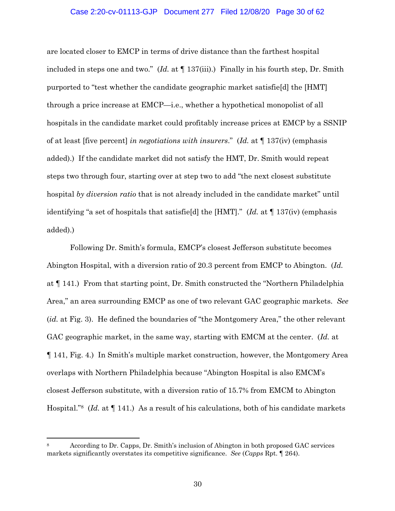## Case 2:20-cv-01113-GJP Document 277 Filed 12/08/20 Page 30 of 62

are located closer to EMCP in terms of drive distance than the farthest hospital included in steps one and two." (*Id.* at ¶ 137(iii).) Finally in his fourth step, Dr. Smith purported to "test whether the candidate geographic market satisfie[d] the [HMT] through a price increase at EMCP—i.e., whether a hypothetical monopolist of all hospitals in the candidate market could profitably increase prices at EMCP by a SSNIP of at least [five percent] *in negotiations with insurers*." (*Id.* at ¶ 137(iv) (emphasis added).) If the candidate market did not satisfy the HMT, Dr. Smith would repeat steps two through four, starting over at step two to add "the next closest substitute hospital *by diversion ratio* that is not already included in the candidate market" until identifying "a set of hospitals that satisfie[d] the [HMT]." (*Id.* at ¶ 137(iv) (emphasis added).)

Following Dr. Smith's formula, EMCP's closest Jefferson substitute becomes Abington Hospital, with a diversion ratio of 20.3 percent from EMCP to Abington. (*Id.* at ¶ 141.) From that starting point, Dr. Smith constructed the "Northern Philadelphia Area," an area surrounding EMCP as one of two relevant GAC geographic markets. *See*  (*id.* at Fig. 3). He defined the boundaries of "the Montgomery Area," the other relevant GAC geographic market, in the same way, starting with EMCM at the center. (*Id.* at ¶ 141, Fig. 4.) In Smith's multiple market construction, however, the Montgomery Area overlaps with Northern Philadelphia because "Abington Hospital is also EMCM's closest Jefferson substitute, with a diversion ratio of 15.7% from EMCM to Abington Hospital."8 (*Id.* at ¶ 141.) As a result of his calculations, both of his candidate markets

<sup>8</sup> According to Dr. Capps, Dr. Smith's inclusion of Abington in both proposed GAC services markets significantly overstates its competitive significance. *See* (*Capps* Rpt. ¶ 264).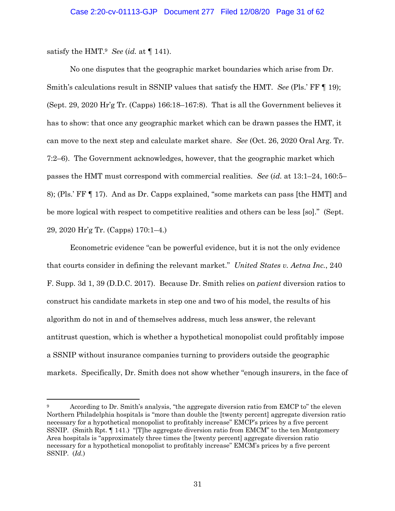satisfy the HMT.<sup>9</sup> *See* (*id.* at  $\P$  141).

No one disputes that the geographic market boundaries which arise from Dr. Smith's calculations result in SSNIP values that satisfy the HMT. *See* (Pls.' FF ¶ 19); (Sept. 29, 2020 Hr'g Tr. (Capps) 166:18–167:8). That is all the Government believes it has to show: that once any geographic market which can be drawn passes the HMT, it can move to the next step and calculate market share. *See* (Oct. 26, 2020 Oral Arg. Tr. 7:2–6). The Government acknowledges, however, that the geographic market which passes the HMT must correspond with commercial realities. *See* (*id.* at 13:1–24, 160:5– 8); (Pls.' FF ¶ 17). And as Dr. Capps explained, "some markets can pass [the HMT] and be more logical with respect to competitive realities and others can be less [so]." (Sept. 29, 2020 Hr'g Tr. (Capps) 170:1–4.)

Econometric evidence "can be powerful evidence, but it is not the only evidence that courts consider in defining the relevant market." *United States v. Aetna Inc.*, 240 F. Supp. 3d 1, 39 (D.D.C. 2017). Because Dr. Smith relies on *patient* diversion ratios to construct his candidate markets in step one and two of his model, the results of his algorithm do not in and of themselves address, much less answer, the relevant antitrust question, which is whether a hypothetical monopolist could profitably impose a SSNIP without insurance companies turning to providers outside the geographic markets. Specifically, Dr. Smith does not show whether "enough insurers, in the face of

According to Dr. Smith's analysis, "the aggregate diversion ratio from EMCP to" the eleven Northern Philadelphia hospitals is "more than double the [twenty percent] aggregate diversion ratio necessary for a hypothetical monopolist to profitably increase" EMCP's prices by a five percent SSNIP. (Smith Rpt. ¶ 141.) "[T]he aggregate diversion ratio from EMCM" to the ten Montgomery Area hospitals is "approximately three times the [twenty percent] aggregate diversion ratio necessary for a hypothetical monopolist to profitably increase" EMCM's prices by a five percent SSNIP. (*Id.*)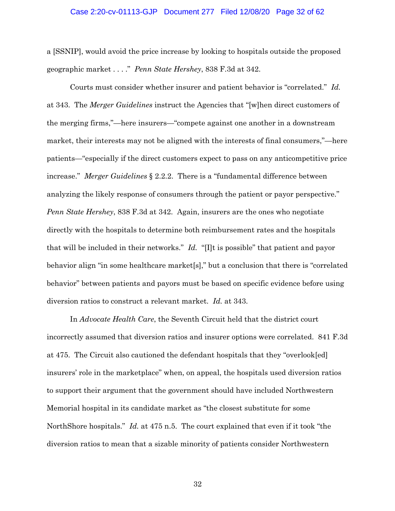#### Case 2:20-cv-01113-GJP Document 277 Filed 12/08/20 Page 32 of 62

a [SSNIP], would avoid the price increase by looking to hospitals outside the proposed geographic market . . . ." *Penn State Hershey*, 838 F.3d at 342.

Courts must consider whether insurer and patient behavior is "correlated." *Id.* at 343. The *Merger Guidelines* instruct the Agencies that "[w]hen direct customers of the merging firms,"—here insurers—"compete against one another in a downstream market, their interests may not be aligned with the interests of final consumers,"—here patients—"especially if the direct customers expect to pass on any anticompetitive price increase." *Merger Guidelines* § 2.2.2. There is a "fundamental difference between analyzing the likely response of consumers through the patient or payor perspective." *Penn State Hershey*, 838 F.3d at 342. Again, insurers are the ones who negotiate directly with the hospitals to determine both reimbursement rates and the hospitals that will be included in their networks." *Id.* "[I]t is possible" that patient and payor behavior align "in some healthcare market[s]," but a conclusion that there is "correlated behavior" between patients and payors must be based on specific evidence before using diversion ratios to construct a relevant market. *Id.* at 343.

In *Advocate Health Care*, the Seventh Circuit held that the district court incorrectly assumed that diversion ratios and insurer options were correlated. 841 F.3d at 475. The Circuit also cautioned the defendant hospitals that they "overlook[ed] insurers' role in the marketplace" when, on appeal, the hospitals used diversion ratios to support their argument that the government should have included Northwestern Memorial hospital in its candidate market as "the closest substitute for some NorthShore hospitals." *Id.* at 475 n.5. The court explained that even if it took "the diversion ratios to mean that a sizable minority of patients consider Northwestern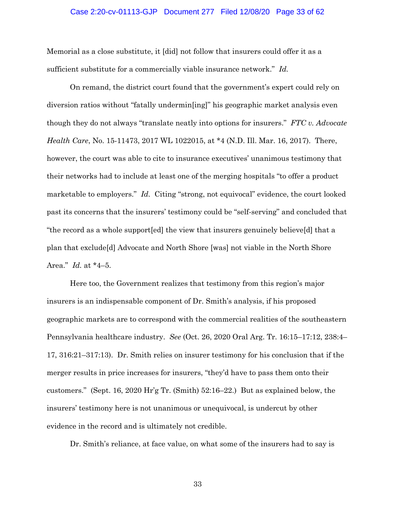## Case 2:20-cv-01113-GJP Document 277 Filed 12/08/20 Page 33 of 62

Memorial as a close substitute, it [did] not follow that insurers could offer it as a sufficient substitute for a commercially viable insurance network." *Id.*

On remand, the district court found that the government's expert could rely on diversion ratios without "fatally undermin[ing]" his geographic market analysis even though they do not always "translate neatly into options for insurers." *FTC v. Advocate Health Care*, No. 15-11473, 2017 WL 1022015, at \*4 (N.D. Ill. Mar. 16, 2017). There, however, the court was able to cite to insurance executives' unanimous testimony that their networks had to include at least one of the merging hospitals "to offer a product marketable to employers." *Id.* Citing "strong, not equivocal" evidence, the court looked past its concerns that the insurers' testimony could be "self-serving" and concluded that "the record as a whole support[ed] the view that insurers genuinely believe[d] that a plan that exclude[d] Advocate and North Shore [was] not viable in the North Shore Area." *Id.* at \*4–5.

Here too, the Government realizes that testimony from this region's major insurers is an indispensable component of Dr. Smith's analysis, if his proposed geographic markets are to correspond with the commercial realities of the southeastern Pennsylvania healthcare industry. *See* (Oct. 26, 2020 Oral Arg. Tr. 16:15–17:12, 238:4– 17, 316:21–317:13). Dr. Smith relies on insurer testimony for his conclusion that if the merger results in price increases for insurers, "they'd have to pass them onto their customers." (Sept. 16, 2020 Hr'g Tr. (Smith) 52:16–22.) But as explained below, the insurers' testimony here is not unanimous or unequivocal, is undercut by other evidence in the record and is ultimately not credible.

Dr. Smith's reliance, at face value, on what some of the insurers had to say is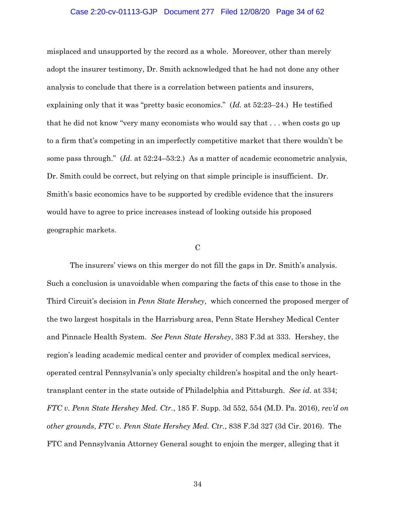## Case 2:20-cv-01113-GJP Document 277 Filed 12/08/20 Page 34 of 62

misplaced and unsupported by the record as a whole. Moreover, other than merely adopt the insurer testimony, Dr. Smith acknowledged that he had not done any other analysis to conclude that there is a correlation between patients and insurers, explaining only that it was "pretty basic economics." (*Id.* at 52:23–24.) He testified that he did not know "very many economists who would say that . . . when costs go up to a firm that's competing in an imperfectly competitive market that there wouldn't be some pass through." (*Id.* at 52:24–53:2.) As a matter of academic econometric analysis, Dr. Smith could be correct, but relying on that simple principle is insufficient. Dr. Smith's basic economics have to be supported by credible evidence that the insurers would have to agree to price increases instead of looking outside his proposed geographic markets.

#### C

The insurers' views on this merger do not fill the gaps in Dr. Smith's analysis. Such a conclusion is unavoidable when comparing the facts of this case to those in the Third Circuit's decision in *Penn State Hershey*, which concerned the proposed merger of the two largest hospitals in the Harrisburg area, Penn State Hershey Medical Center and Pinnacle Health System. *See Penn State Hershey*, 383 F.3d at 333. Hershey, the region's leading academic medical center and provider of complex medical services, operated central Pennsylvania's only specialty children's hospital and the only hearttransplant center in the state outside of Philadelphia and Pittsburgh. *See id.* at 334; *FTC v. Penn State Hershey Med. Ctr.*, 185 F. Supp. 3d 552, 554 (M.D. Pa. 2016), *rev'd on other grounds*, *FTC v. Penn State Hershey Med. Ctr.*, 838 F.3d 327 (3d Cir. 2016). The FTC and Pennsylvania Attorney General sought to enjoin the merger, alleging that it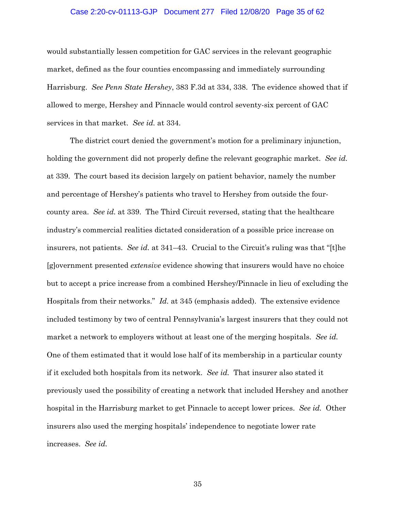## Case 2:20-cv-01113-GJP Document 277 Filed 12/08/20 Page 35 of 62

would substantially lessen competition for GAC services in the relevant geographic market, defined as the four counties encompassing and immediately surrounding Harrisburg. *See Penn State Hershey*, 383 F.3d at 334, 338. The evidence showed that if allowed to merge, Hershey and Pinnacle would control seventy-six percent of GAC services in that market. *See id.* at 334.

The district court denied the government's motion for a preliminary injunction, holding the government did not properly define the relevant geographic market. *See id.* at 339. The court based its decision largely on patient behavior, namely the number and percentage of Hershey's patients who travel to Hershey from outside the fourcounty area. *See id.* at 339. The Third Circuit reversed, stating that the healthcare industry's commercial realities dictated consideration of a possible price increase on insurers, not patients. *See id.* at 341–43. Crucial to the Circuit's ruling was that "[t]he [g]overnment presented *extensive* evidence showing that insurers would have no choice but to accept a price increase from a combined Hershey/Pinnacle in lieu of excluding the Hospitals from their networks." *Id.* at 345 (emphasis added). The extensive evidence included testimony by two of central Pennsylvania's largest insurers that they could not market a network to employers without at least one of the merging hospitals. *See id.*  One of them estimated that it would lose half of its membership in a particular county if it excluded both hospitals from its network. *See id.* That insurer also stated it previously used the possibility of creating a network that included Hershey and another hospital in the Harrisburg market to get Pinnacle to accept lower prices. *See id.* Other insurers also used the merging hospitals' independence to negotiate lower rate increases. *See id.*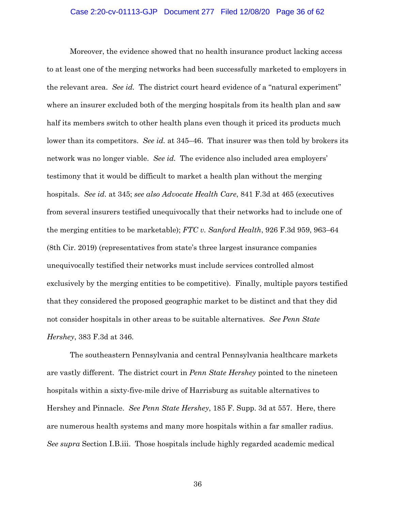## Case 2:20-cv-01113-GJP Document 277 Filed 12/08/20 Page 36 of 62

Moreover, the evidence showed that no health insurance product lacking access to at least one of the merging networks had been successfully marketed to employers in the relevant area. *See id.* The district court heard evidence of a "natural experiment" where an insurer excluded both of the merging hospitals from its health plan and saw half its members switch to other health plans even though it priced its products much lower than its competitors. *See id.* at 345–46. That insurer was then told by brokers its network was no longer viable. *See id.* The evidence also included area employers' testimony that it would be difficult to market a health plan without the merging hospitals. *See id.* at 345; *see also Advocate Health Care*, 841 F.3d at 465 (executives from several insurers testified unequivocally that their networks had to include one of the merging entities to be marketable); *FTC v. Sanford Health*, 926 F.3d 959, 963–64 (8th Cir. 2019) (representatives from state's three largest insurance companies unequivocally testified their networks must include services controlled almost exclusively by the merging entities to be competitive). Finally, multiple payors testified that they considered the proposed geographic market to be distinct and that they did not consider hospitals in other areas to be suitable alternatives. *See Penn State Hershey*, 383 F.3d at 346.

The southeastern Pennsylvania and central Pennsylvania healthcare markets are vastly different. The district court in *Penn State Hershey* pointed to the nineteen hospitals within a sixty-five-mile drive of Harrisburg as suitable alternatives to Hershey and Pinnacle. *See Penn State Hershey*, 185 F. Supp. 3d at 557. Here, there are numerous health systems and many more hospitals within a far smaller radius. *See supra* Section I.B.iii. Those hospitals include highly regarded academic medical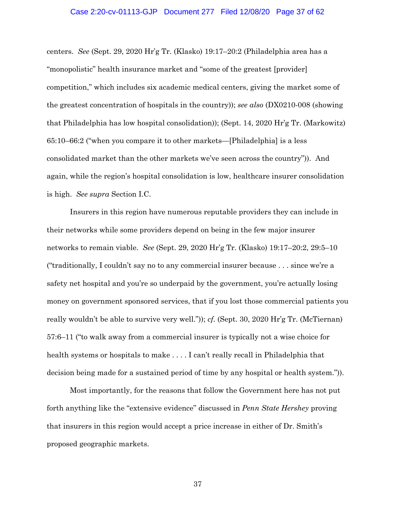centers. *See* (Sept. 29, 2020 Hr'g Tr. (Klasko) 19:17–20:2 (Philadelphia area has a "monopolistic" health insurance market and "some of the greatest [provider] competition," which includes six academic medical centers, giving the market some of the greatest concentration of hospitals in the country)); *see also* (DX0210-008 (showing that Philadelphia has low hospital consolidation)); (Sept. 14, 2020 Hr'g Tr. (Markowitz) 65:10–66:2 ("when you compare it to other markets—[Philadelphia] is a less consolidated market than the other markets we've seen across the country")). And again, while the region's hospital consolidation is low, healthcare insurer consolidation is high. *See supra* Section I.C.

Insurers in this region have numerous reputable providers they can include in their networks while some providers depend on being in the few major insurer networks to remain viable. *See* (Sept. 29, 2020 Hr'g Tr. (Klasko) 19:17–20:2, 29:5–10 ("traditionally, I couldn't say no to any commercial insurer because . . . since we're a safety net hospital and you're so underpaid by the government, you're actually losing money on government sponsored services, that if you lost those commercial patients you really wouldn't be able to survive very well.")); *cf.* (Sept. 30, 2020 Hr'g Tr. (McTiernan) 57:6–11 ("to walk away from a commercial insurer is typically not a wise choice for health systems or hospitals to make . . . . I can't really recall in Philadelphia that decision being made for a sustained period of time by any hospital or health system.")).

Most importantly, for the reasons that follow the Government here has not put forth anything like the "extensive evidence" discussed in *Penn State Hershey* proving that insurers in this region would accept a price increase in either of Dr. Smith's proposed geographic markets.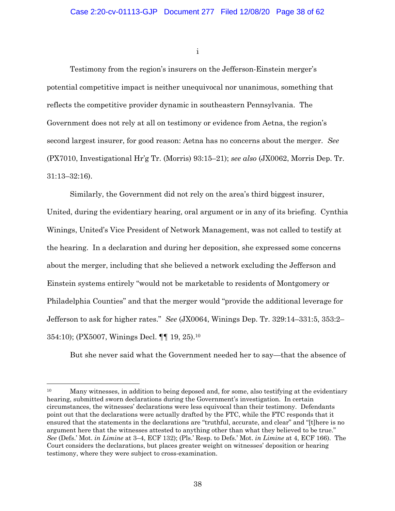i

Testimony from the region's insurers on the Jefferson-Einstein merger's potential competitive impact is neither unequivocal nor unanimous, something that reflects the competitive provider dynamic in southeastern Pennsylvania. The Government does not rely at all on testimony or evidence from Aetna, the region's second largest insurer, for good reason: Aetna has no concerns about the merger.*See* (PX7010, Investigational Hr'g Tr. (Morris) 93:15–21); *see also* (JX0062, Morris Dep. Tr. 31:13–32:16).

Similarly, the Government did not rely on the area's third biggest insurer, United, during the evidentiary hearing, oral argument or in any of its briefing. Cynthia Winings, United's Vice President of Network Management, was not called to testify at the hearing. In a declaration and during her deposition, she expressed some concerns about the merger, including that she believed a network excluding the Jefferson and Einstein systems entirely "would not be marketable to residents of Montgomery or Philadelphia Counties" and that the merger would "provide the additional leverage for Jefferson to ask for higher rates." *See* (JX0064, Winings Dep. Tr. 329:14–331:5, 353:2– 354:10); (PX5007, Winings Decl. ¶¶ 19, 25).10

But she never said what the Government needed her to say—that the absence of

<sup>&</sup>lt;sup>10</sup> Many witnesses, in addition to being deposed and, for some, also testifying at the evidentiary hearing, submitted sworn declarations during the Government's investigation. In certain circumstances, the witnesses' declarations were less equivocal than their testimony. Defendants point out that the declarations were actually drafted by the FTC, while the FTC responds that it ensured that the statements in the declarations are "truthful, accurate, and clear" and "[t]here is no argument here that the witnesses attested to anything other than what they believed to be true." *See* (Defs.' Mot. *in Limine* at 3–4, ECF 132); (Pls.' Resp. to Defs.' Mot. *in Limine* at 4, ECF 166). The Court considers the declarations, but places greater weight on witnesses' deposition or hearing testimony, where they were subject to cross-examination.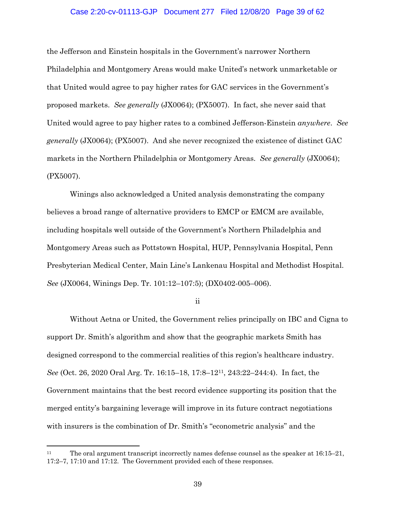# Case 2:20-cv-01113-GJP Document 277 Filed 12/08/20 Page 39 of 62

the Jefferson and Einstein hospitals in the Government's narrower Northern Philadelphia and Montgomery Areas would make United's network unmarketable or that United would agree to pay higher rates for GAC services in the Government's proposed markets. *See generally* (JX0064); (PX5007). In fact, she never said that United would agree to pay higher rates to a combined Jefferson-Einstein *anywhere*. *See generally* (JX0064); (PX5007).And she never recognized the existence of distinct GAC markets in the Northern Philadelphia or Montgomery Areas. *See generally* (JX0064); (PX5007).

Winings also acknowledged a United analysis demonstrating the company believes a broad range of alternative providers to EMCP or EMCM are available, including hospitals well outside of the Government's Northern Philadelphia and Montgomery Areas such as Pottstown Hospital, HUP, Pennsylvania Hospital, Penn Presbyterian Medical Center, Main Line's Lankenau Hospital and Methodist Hospital. *See* (JX0064, Winings Dep. Tr. 101:12–107:5); (DX0402-005–006).

ii

Without Aetna or United, the Government relies principally on IBC and Cigna to support Dr. Smith's algorithm and show that the geographic markets Smith has designed correspond to the commercial realities of this region's healthcare industry. *See* (Oct. 26, 2020 Oral Arg. Tr. 16:15–18, 17:8–1211, 243:22–244:4). In fact, the Government maintains that the best record evidence supporting its position that the merged entity's bargaining leverage will improve in its future contract negotiations with insurers is the combination of Dr. Smith's "econometric analysis" and the

<sup>11</sup> The oral argument transcript incorrectly names defense counsel as the speaker at 16:15–21, 17:2–7, 17:10 and 17:12. The Government provided each of these responses.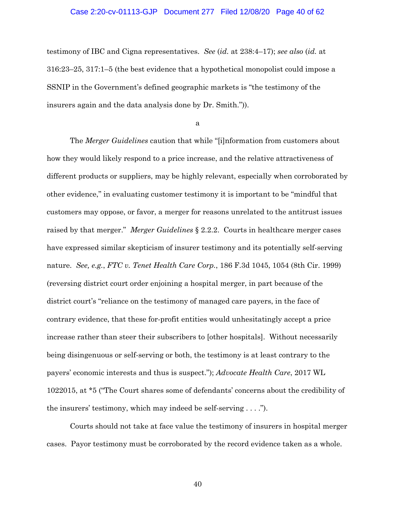## Case 2:20-cv-01113-GJP Document 277 Filed 12/08/20 Page 40 of 62

testimony of IBC and Cigna representatives. *See* (*id.* at 238:4–17); *see also* (*id.* at 316:23–25, 317:1–5 (the best evidence that a hypothetical monopolist could impose a SSNIP in the Government's defined geographic markets is "the testimony of the insurers again and the data analysis done by Dr. Smith.")).

a

The *Merger Guidelines* caution that while "[i]nformation from customers about how they would likely respond to a price increase, and the relative attractiveness of different products or suppliers, may be highly relevant, especially when corroborated by other evidence," in evaluating customer testimony it is important to be "mindful that customers may oppose, or favor, a merger for reasons unrelated to the antitrust issues raised by that merger." *Merger Guidelines* § 2.2.2. Courts in healthcare merger cases have expressed similar skepticism of insurer testimony and its potentially self-serving nature. *See, e.g.*, *FTC v. Tenet Health Care Corp.*, 186 F.3d 1045, 1054 (8th Cir. 1999) (reversing district court order enjoining a hospital merger, in part because of the district court's "reliance on the testimony of managed care payers, in the face of contrary evidence, that these for-profit entities would unhesitatingly accept a price increase rather than steer their subscribers to [other hospitals]. Without necessarily being disingenuous or self-serving or both, the testimony is at least contrary to the payers' economic interests and thus is suspect."); *Advocate Health Care*, 2017 WL 1022015, at \*5 ("The Court shares some of defendants' concerns about the credibility of the insurers' testimony, which may indeed be self-serving . . . .").

Courts should not take at face value the testimony of insurers in hospital merger cases. Payor testimony must be corroborated by the record evidence taken as a whole.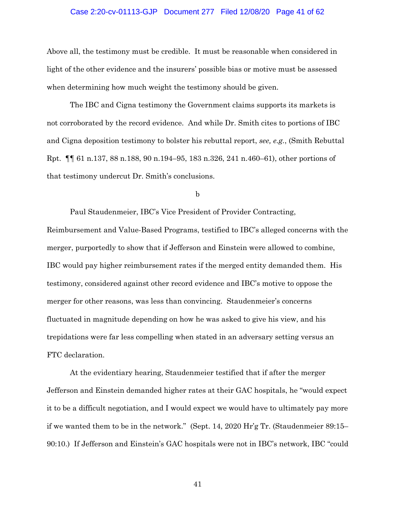## Case 2:20-cv-01113-GJP Document 277 Filed 12/08/20 Page 41 of 62

Above all, the testimony must be credible. It must be reasonable when considered in light of the other evidence and the insurers' possible bias or motive must be assessed when determining how much weight the testimony should be given.

The IBC and Cigna testimony the Government claims supports its markets is not corroborated by the record evidence. And while Dr. Smith cites to portions of IBC and Cigna deposition testimony to bolster his rebuttal report, *see, e.g.*, (Smith Rebuttal Rpt. ¶¶ 61 n.137, 88 n.188, 90 n.194–95, 183 n.326, 241 n.460–61), other portions of that testimony undercut Dr. Smith's conclusions.

b

Paul Staudenmeier, IBC's Vice President of Provider Contracting, Reimbursement and Value-Based Programs, testified to IBC's alleged concerns with the merger, purportedly to show that if Jefferson and Einstein were allowed to combine, IBC would pay higher reimbursement rates if the merged entity demanded them. His testimony, considered against other record evidence and IBC's motive to oppose the merger for other reasons, was less than convincing. Staudenmeier's concerns fluctuated in magnitude depending on how he was asked to give his view, and his trepidations were far less compelling when stated in an adversary setting versus an FTC declaration.

At the evidentiary hearing, Staudenmeier testified that if after the merger Jefferson and Einstein demanded higher rates at their GAC hospitals, he "would expect it to be a difficult negotiation, and I would expect we would have to ultimately pay more if we wanted them to be in the network." (Sept. 14, 2020 Hr'g Tr. (Staudenmeier 89:15– 90:10.) If Jefferson and Einstein's GAC hospitals were not in IBC's network, IBC "could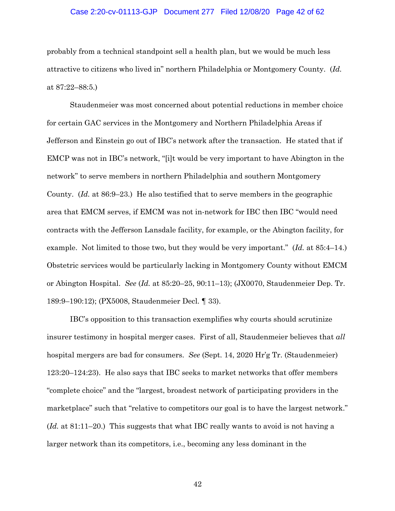# Case 2:20-cv-01113-GJP Document 277 Filed 12/08/20 Page 42 of 62

probably from a technical standpoint sell a health plan, but we would be much less attractive to citizens who lived in" northern Philadelphia or Montgomery County. (*Id.* at 87:22–88:5.)

Staudenmeier was most concerned about potential reductions in member choice for certain GAC services in the Montgomery and Northern Philadelphia Areas if Jefferson and Einstein go out of IBC's network after the transaction. He stated that if EMCP was not in IBC's network, "[i]t would be very important to have Abington in the network" to serve members in northern Philadelphia and southern Montgomery County. (*Id.* at 86:9–23.) He also testified that to serve members in the geographic area that EMCM serves, if EMCM was not in-network for IBC then IBC "would need contracts with the Jefferson Lansdale facility, for example, or the Abington facility, for example. Not limited to those two, but they would be very important." (*Id.* at 85:4–14.) Obstetric services would be particularly lacking in Montgomery County without EMCM or Abington Hospital. *See* (*Id.* at 85:20–25, 90:11–13); (JX0070, Staudenmeier Dep. Tr. 189:9–190:12); (PX5008, Staudenmeier Decl. ¶ 33).

IBC's opposition to this transaction exemplifies why courts should scrutinize insurer testimony in hospital merger cases. First of all, Staudenmeier believes that *all* hospital mergers are bad for consumers. *See* (Sept. 14, 2020 Hr'g Tr. (Staudenmeier) 123:20–124:23). He also says that IBC seeks to market networks that offer members "complete choice" and the "largest, broadest network of participating providers in the marketplace" such that "relative to competitors our goal is to have the largest network." (*Id.* at 81:11–20.) This suggests that what IBC really wants to avoid is not having a larger network than its competitors, i.e., becoming any less dominant in the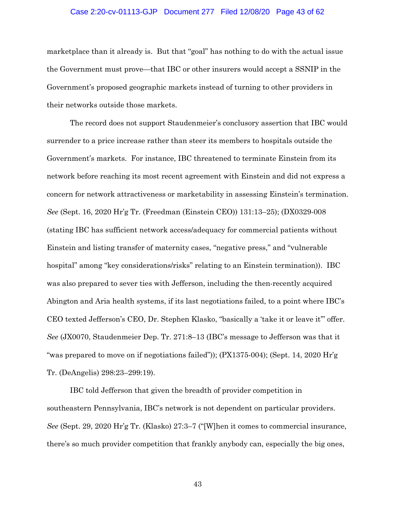# Case 2:20-cv-01113-GJP Document 277 Filed 12/08/20 Page 43 of 62

marketplace than it already is. But that "goal" has nothing to do with the actual issue the Government must prove—that IBC or other insurers would accept a SSNIP in the Government's proposed geographic markets instead of turning to other providers in their networks outside those markets.

The record does not support Staudenmeier's conclusory assertion that IBC would surrender to a price increase rather than steer its members to hospitals outside the Government's markets. For instance, IBC threatened to terminate Einstein from its network before reaching its most recent agreement with Einstein and did not express a concern for network attractiveness or marketability in assessing Einstein's termination. *See* (Sept. 16, 2020 Hr'g Tr. (Freedman (Einstein CEO)) 131:13–25); (DX0329-008 (stating IBC has sufficient network access/adequacy for commercial patients without Einstein and listing transfer of maternity cases, "negative press," and "vulnerable hospital" among "key considerations/risks" relating to an Einstein termination)). IBC was also prepared to sever ties with Jefferson, including the then-recently acquired Abington and Aria health systems, if its last negotiations failed, to a point where IBC's CEO texted Jefferson's CEO, Dr. Stephen Klasko, "basically a 'take it or leave it'" offer. *See* (JX0070, Staudenmeier Dep. Tr. 271:8–13 (IBC's message to Jefferson was that it "was prepared to move on if negotiations failed")); (PX1375-004); (Sept. 14, 2020 Hr'g Tr. (DeAngelis) 298:23–299:19).

IBC told Jefferson that given the breadth of provider competition in southeastern Pennsylvania, IBC's network is not dependent on particular providers. *See* (Sept. 29, 2020 Hr'g Tr. (Klasko) 27:3–7 ("[W]hen it comes to commercial insurance, there's so much provider competition that frankly anybody can, especially the big ones,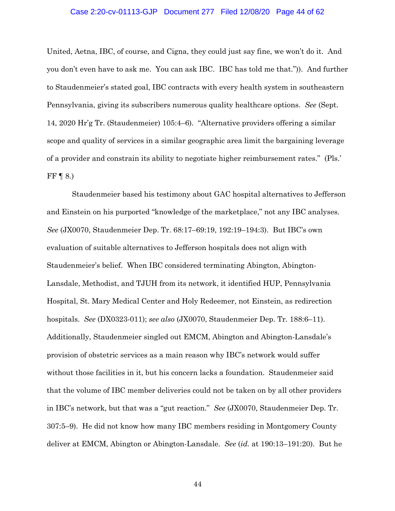## Case 2:20-cv-01113-GJP Document 277 Filed 12/08/20 Page 44 of 62

United, Aetna, IBC, of course, and Cigna, they could just say fine, we won't do it. And you don't even have to ask me. You can ask IBC. IBC has told me that.")). And further to Staudenmeier's stated goal, IBC contracts with every health system in southeastern Pennsylvania, giving its subscribers numerous quality healthcare options. *See* (Sept. 14, 2020 Hr'g Tr. (Staudenmeier) 105:4–6). "Alternative providers offering a similar scope and quality of services in a similar geographic area limit the bargaining leverage of a provider and constrain its ability to negotiate higher reimbursement rates." (Pls.' FF  $\P$  8.)

Staudenmeier based his testimony about GAC hospital alternatives to Jefferson and Einstein on his purported "knowledge of the marketplace," not any IBC analyses. *See* (JX0070, Staudenmeier Dep. Tr. 68:17–69:19, 192:19–194:3). But IBC's own evaluation of suitable alternatives to Jefferson hospitals does not align with Staudenmeier's belief. When IBC considered terminating Abington, Abington-Lansdale, Methodist, and TJUH from its network, it identified HUP, Pennsylvania Hospital, St. Mary Medical Center and Holy Redeemer, not Einstein, as redirection hospitals. *See* (DX0323-011); *see also* (JX0070, Staudenmeier Dep. Tr. 188:6–11). Additionally, Staudenmeier singled out EMCM, Abington and Abington-Lansdale's provision of obstetric services as a main reason why IBC's network would suffer without those facilities in it, but his concern lacks a foundation. Staudenmeier said that the volume of IBC member deliveries could not be taken on by all other providers in IBC's network, but that was a "gut reaction." *See* (JX0070, Staudenmeier Dep. Tr. 307:5–9). He did not know how many IBC members residing in Montgomery County deliver at EMCM, Abington or Abington-Lansdale. *See* (*id.* at 190:13–191:20). But he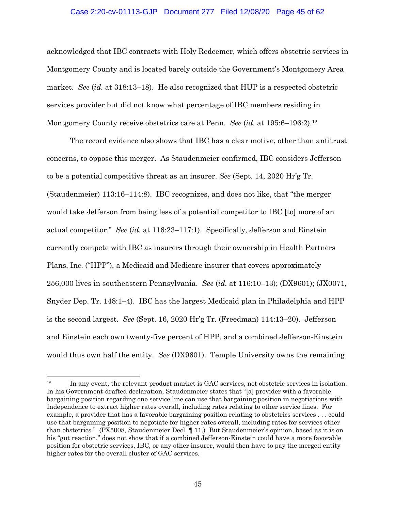# Case 2:20-cv-01113-GJP Document 277 Filed 12/08/20 Page 45 of 62

acknowledged that IBC contracts with Holy Redeemer, which offers obstetric services in Montgomery County and is located barely outside the Government's Montgomery Area market. *See* (*id.* at 318:13–18). He also recognized that HUP is a respected obstetric services provider but did not know what percentage of IBC members residing in Montgomery County receive obstetrics care at Penn. *See* (*id.* at 195:6–196:2).12

The record evidence also shows that IBC has a clear motive, other than antitrust concerns, to oppose this merger. As Staudenmeier confirmed, IBC considers Jefferson to be a potential competitive threat as an insurer. *See* (Sept. 14, 2020 Hr'g Tr. (Staudenmeier) 113:16–114:8). IBC recognizes, and does not like, that "the merger would take Jefferson from being less of a potential competitor to IBC [to] more of an actual competitor." *See* (*id.* at 116:23–117:1). Specifically, Jefferson and Einstein currently compete with IBC as insurers through their ownership in Health Partners Plans, Inc. ("HPP"), a Medicaid and Medicare insurer that covers approximately 256,000 lives in southeastern Pennsylvania. *See* (*id.* at 116:10–13); (DX9601); (JX0071, Snyder Dep. Tr. 148:1–4). IBC has the largest Medicaid plan in Philadelphia and HPP is the second largest. *See* (Sept. 16, 2020 Hr'g Tr. (Freedman) 114:13–20). Jefferson and Einstein each own twenty-five percent of HPP, and a combined Jefferson-Einstein would thus own half the entity. *See* (DX9601). Temple University owns the remaining

<sup>&</sup>lt;sup>12</sup> In any event, the relevant product market is GAC services, not obstetric services in isolation. In his Government-drafted declaration, Staudenmeier states that "[a] provider with a favorable bargaining position regarding one service line can use that bargaining position in negotiations with Independence to extract higher rates overall, including rates relating to other service lines. For example, a provider that has a favorable bargaining position relating to obstetrics services . . . could use that bargaining position to negotiate for higher rates overall, including rates for services other than obstetrics." (PX5008, Staudenmeier Decl. ¶ 11.) But Staudenmeier's opinion, based as it is on his "gut reaction," does not show that if a combined Jefferson-Einstein could have a more favorable position for obstetric services, IBC, or any other insurer, would then have to pay the merged entity higher rates for the overall cluster of GAC services.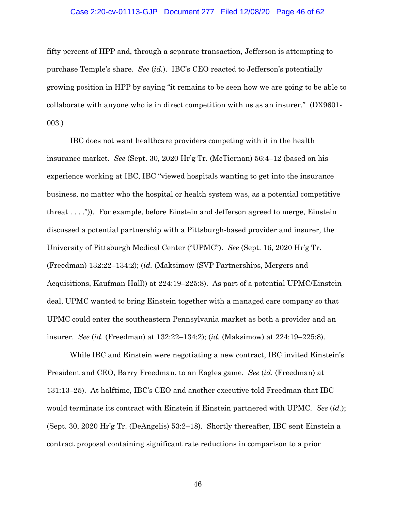## Case 2:20-cv-01113-GJP Document 277 Filed 12/08/20 Page 46 of 62

fifty percent of HPP and, through a separate transaction, Jefferson is attempting to purchase Temple's share. *See* (*id.*). IBC's CEO reacted to Jefferson's potentially growing position in HPP by saying "it remains to be seen how we are going to be able to collaborate with anyone who is in direct competition with us as an insurer." (DX9601- 003.)

IBC does not want healthcare providers competing with it in the health insurance market. *See* (Sept. 30, 2020 Hr'g Tr. (McTiernan) 56:4–12 (based on his experience working at IBC, IBC "viewed hospitals wanting to get into the insurance business, no matter who the hospital or health system was, as a potential competitive threat . . . .")). For example, before Einstein and Jefferson agreed to merge, Einstein discussed a potential partnership with a Pittsburgh-based provider and insurer, the University of Pittsburgh Medical Center ("UPMC"). *See* (Sept. 16, 2020 Hr'g Tr. (Freedman) 132:22–134:2); (*id.* (Maksimow (SVP Partnerships, Mergers and Acquisitions, Kaufman Hall)) at 224:19–225:8). As part of a potential UPMC/Einstein deal, UPMC wanted to bring Einstein together with a managed care company so that UPMC could enter the southeastern Pennsylvania market as both a provider and an insurer. *See* (*id.* (Freedman) at 132:22–134:2); (*id.* (Maksimow) at 224:19–225:8).

While IBC and Einstein were negotiating a new contract, IBC invited Einstein's President and CEO, Barry Freedman, to an Eagles game. *See* (*id.* (Freedman) at 131:13–25). At halftime, IBC's CEO and another executive told Freedman that IBC would terminate its contract with Einstein if Einstein partnered with UPMC. *See* (*id.*); (Sept. 30, 2020 Hr'g Tr. (DeAngelis) 53:2–18). Shortly thereafter, IBC sent Einstein a contract proposal containing significant rate reductions in comparison to a prior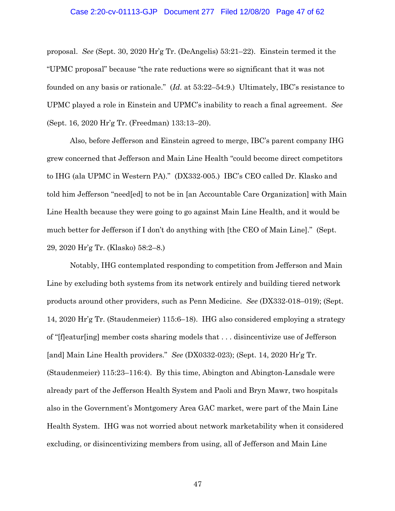#### Case 2:20-cv-01113-GJP Document 277 Filed 12/08/20 Page 47 of 62

proposal. *See* (Sept. 30, 2020 Hr'g Tr. (DeAngelis) 53:21–22). Einstein termed it the "UPMC proposal" because "the rate reductions were so significant that it was not founded on any basis or rationale." (*Id.* at 53:22–54:9.) Ultimately, IBC's resistance to UPMC played a role in Einstein and UPMC's inability to reach a final agreement. *See* (Sept. 16, 2020 Hr'g Tr. (Freedman) 133:13–20).

Also, before Jefferson and Einstein agreed to merge, IBC's parent company IHG grew concerned that Jefferson and Main Line Health "could become direct competitors to IHG (ala UPMC in Western PA)." (DX332-005.) IBC's CEO called Dr. Klasko and told him Jefferson "need[ed] to not be in [an Accountable Care Organization] with Main Line Health because they were going to go against Main Line Health, and it would be much better for Jefferson if I don't do anything with [the CEO of Main Line]." (Sept. 29, 2020 Hr'g Tr. (Klasko) 58:2–8.)

Notably, IHG contemplated responding to competition from Jefferson and Main Line by excluding both systems from its network entirely and building tiered network products around other providers, such as Penn Medicine. *See* (DX332-018–019); (Sept. 14, 2020 Hr'g Tr. (Staudenmeier) 115:6–18). IHG also considered employing a strategy of "[f]eatur[ing] member costs sharing models that . . . disincentivize use of Jefferson [and] Main Line Health providers." *See* (DX0332-023); (Sept. 14, 2020 Hr'g Tr. (Staudenmeier) 115:23–116:4). By this time, Abington and Abington-Lansdale were already part of the Jefferson Health System and Paoli and Bryn Mawr, two hospitals also in the Government's Montgomery Area GAC market, were part of the Main Line Health System. IHG was not worried about network marketability when it considered excluding, or disincentivizing members from using, all of Jefferson and Main Line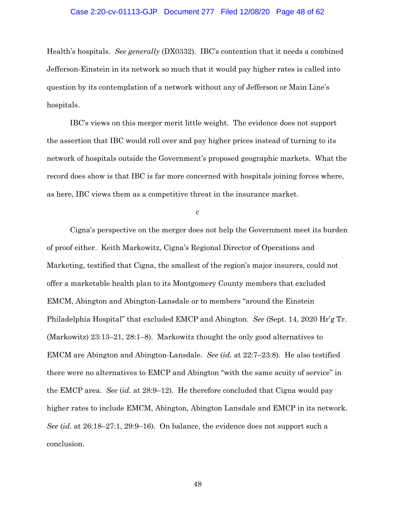## Case 2:20-cv-01113-GJP Document 277 Filed 12/08/20 Page 48 of 62

Health's hospitals. *See generally* (DX0332). IBC's contention that it needs a combined Jefferson-Einstein in its network so much that it would pay higher rates is called into question by its contemplation of a network without any of Jefferson or Main Line's hospitals.

IBC's views on this merger merit little weight. The evidence does not support the assertion that IBC would roll over and pay higher prices instead of turning to its network of hospitals outside the Government's proposed geographic markets. What the record does show is that IBC is far more concerned with hospitals joining forces where, as here, IBC views them as a competitive threat in the insurance market.

c

Cigna's perspective on the merger does not help the Government meet its burden of proof either. Keith Markowitz, Cigna's Regional Director of Operations and Marketing, testified that Cigna, the smallest of the region's major insurers, could not offer a marketable health plan to its Montgomery County members that excluded EMCM, Abington and Abington-Lansdale or to members "around the Einstein Philadelphia Hospital" that excluded EMCP and Abington. *See* (Sept. 14, 2020 Hr'g Tr. (Markowitz) 23:13–21, 28:1–8). Markowitz thought the only good alternatives to EMCM are Abington and Abington-Lansdale. *See* (*id.* at 22:7–23:8). He also testified there were no alternatives to EMCP and Abington "with the same acuity of service" in the EMCP area. *See* (*id.* at 28:9–12). He therefore concluded that Cigna would pay higher rates to include EMCM, Abington, Abington Lansdale and EMCP in its network. *See* (*id.* at 26:18–27:1, 29:9–16). On balance, the evidence does not support such a conclusion.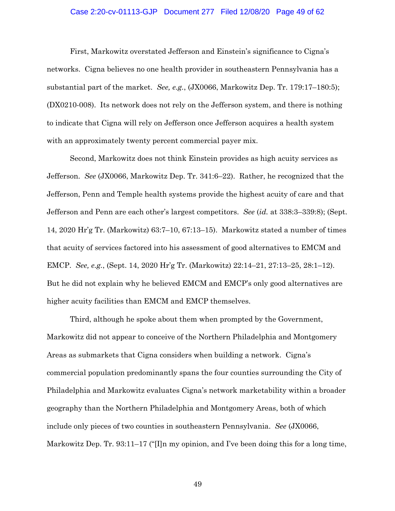# Case 2:20-cv-01113-GJP Document 277 Filed 12/08/20 Page 49 of 62

First, Markowitz overstated Jefferson and Einstein's significance to Cigna's networks. Cigna believes no one health provider in southeastern Pennsylvania has a substantial part of the market. *See, e.g.*, (JX0066, Markowitz Dep. Tr. 179:17–180:5); (DX0210-008). Its network does not rely on the Jefferson system, and there is nothing to indicate that Cigna will rely on Jefferson once Jefferson acquires a health system with an approximately twenty percent commercial payer mix.

Second, Markowitz does not think Einstein provides as high acuity services as Jefferson. *See* (JX0066, Markowitz Dep. Tr. 341:6–22). Rather, he recognized that the Jefferson, Penn and Temple health systems provide the highest acuity of care and that Jefferson and Penn are each other's largest competitors. *See* (*id.* at 338:3–339:8); (Sept. 14, 2020 Hr'g Tr. (Markowitz) 63:7–10, 67:13–15). Markowitz stated a number of times that acuity of services factored into his assessment of good alternatives to EMCM and EMCP. *See, e.g.*, (Sept. 14, 2020 Hr'g Tr. (Markowitz) 22:14–21, 27:13–25, 28:1–12). But he did not explain why he believed EMCM and EMCP's only good alternatives are higher acuity facilities than EMCM and EMCP themselves.

Third, although he spoke about them when prompted by the Government, Markowitz did not appear to conceive of the Northern Philadelphia and Montgomery Areas as submarkets that Cigna considers when building a network. Cigna's commercial population predominantly spans the four counties surrounding the City of Philadelphia and Markowitz evaluates Cigna's network marketability within a broader geography than the Northern Philadelphia and Montgomery Areas, both of which include only pieces of two counties in southeastern Pennsylvania. *See* (JX0066, Markowitz Dep. Tr. 93:11–17 ("[I]n my opinion, and I've been doing this for a long time,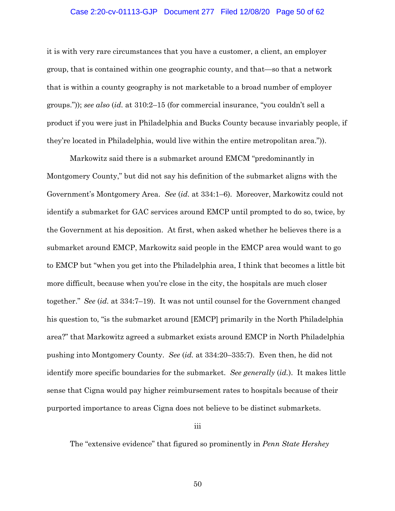# Case 2:20-cv-01113-GJP Document 277 Filed 12/08/20 Page 50 of 62

it is with very rare circumstances that you have a customer, a client, an employer group, that is contained within one geographic county, and that—so that a network that is within a county geography is not marketable to a broad number of employer groups.")); *see also* (*id.* at 310:2–15 (for commercial insurance, "you couldn't sell a product if you were just in Philadelphia and Bucks County because invariably people, if they're located in Philadelphia, would live within the entire metropolitan area.")).

Markowitz said there is a submarket around EMCM "predominantly in Montgomery County," but did not say his definition of the submarket aligns with the Government's Montgomery Area. *See* (*id.* at 334:1–6). Moreover, Markowitz could not identify a submarket for GAC services around EMCP until prompted to do so, twice, by the Government at his deposition. At first, when asked whether he believes there is a submarket around EMCP, Markowitz said people in the EMCP area would want to go to EMCP but "when you get into the Philadelphia area, I think that becomes a little bit more difficult, because when you're close in the city, the hospitals are much closer together." *See* (*id.* at 334:7–19). It was not until counsel for the Government changed his question to, "is the submarket around [EMCP] primarily in the North Philadelphia area?" that Markowitz agreed a submarket exists around EMCP in North Philadelphia pushing into Montgomery County. *See* (*id.* at 334:20–335:7). Even then, he did not identify more specific boundaries for the submarket. *See generally* (*id.*). It makes little sense that Cigna would pay higher reimbursement rates to hospitals because of their purported importance to areas Cigna does not believe to be distinct submarkets.

iii

The "extensive evidence" that figured so prominently in *Penn State Hershey*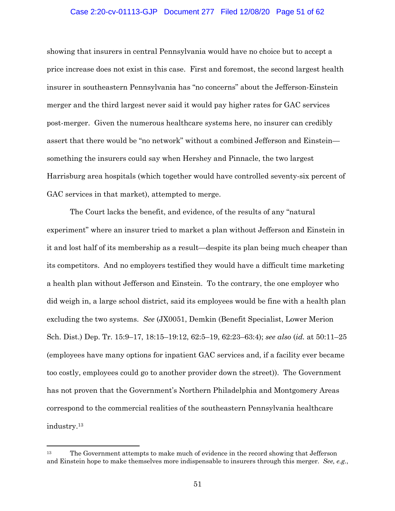# Case 2:20-cv-01113-GJP Document 277 Filed 12/08/20 Page 51 of 62

showing that insurers in central Pennsylvania would have no choice but to accept a price increase does not exist in this case. First and foremost, the second largest health insurer in southeastern Pennsylvania has "no concerns" about the Jefferson-Einstein merger and the third largest never said it would pay higher rates for GAC services post-merger. Given the numerous healthcare systems here, no insurer can credibly assert that there would be "no network" without a combined Jefferson and Einstein something the insurers could say when Hershey and Pinnacle, the two largest Harrisburg area hospitals (which together would have controlled seventy-six percent of GAC services in that market), attempted to merge.

The Court lacks the benefit, and evidence, of the results of any "natural experiment" where an insurer tried to market a plan without Jefferson and Einstein in it and lost half of its membership as a result—despite its plan being much cheaper than its competitors. And no employers testified they would have a difficult time marketing a health plan without Jefferson and Einstein. To the contrary, the one employer who did weigh in, a large school district, said its employees would be fine with a health plan excluding the two systems. *See* (JX0051, Demkin (Benefit Specialist, Lower Merion Sch. Dist.) Dep. Tr. 15:9–17, 18:15–19:12, 62:5–19, 62:23–63:4); *see also* (*id.* at 50:11–25 (employees have many options for inpatient GAC services and, if a facility ever became too costly, employees could go to another provider down the street)). The Government has not proven that the Government's Northern Philadelphia and Montgomery Areas correspond to the commercial realities of the southeastern Pennsylvania healthcare industry.13

<sup>13</sup> The Government attempts to make much of evidence in the record showing that Jefferson and Einstein hope to make themselves more indispensable to insurers through this merger. *See, e.g.*,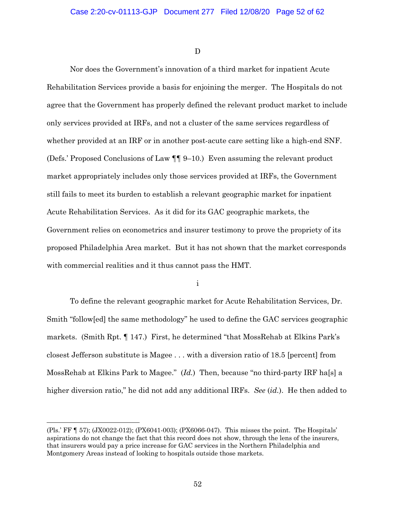D

Nor does the Government's innovation of a third market for inpatient Acute Rehabilitation Services provide a basis for enjoining the merger. The Hospitals do not agree that the Government has properly defined the relevant product market to include only services provided at IRFs, and not a cluster of the same services regardless of whether provided at an IRF or in another post-acute care setting like a high-end SNF. (Defs.' Proposed Conclusions of Law ¶¶ 9–10.) Even assuming the relevant product market appropriately includes only those services provided at IRFs, the Government still fails to meet its burden to establish a relevant geographic market for inpatient Acute Rehabilitation Services. As it did for its GAC geographic markets, the Government relies on econometrics and insurer testimony to prove the propriety of its proposed Philadelphia Area market. But it has not shown that the market corresponds with commercial realities and it thus cannot pass the HMT.

i

To define the relevant geographic market for Acute Rehabilitation Services, Dr. Smith "follow[ed] the same methodology" he used to define the GAC services geographic markets. (Smith Rpt. ¶ 147.) First, he determined "that MossRehab at Elkins Park's closest Jefferson substitute is Magee . . . with a diversion ratio of 18.5 [percent] from MossRehab at Elkins Park to Magee." (*Id.*) Then, because "no third-party IRF ha[s] a higher diversion ratio," he did not add any additional IRFs. *See* (*id.*). He then added to

<sup>(</sup>Pls.' FF ¶ 57); (JX0022-012); (PX6041-003); (PX6066-047). This misses the point. The Hospitals' aspirations do not change the fact that this record does not show, through the lens of the insurers, that insurers would pay a price increase for GAC services in the Northern Philadelphia and Montgomery Areas instead of looking to hospitals outside those markets.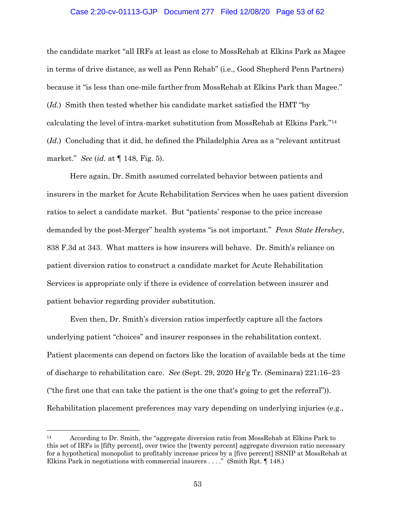## Case 2:20-cv-01113-GJP Document 277 Filed 12/08/20 Page 53 of 62

the candidate market "all IRFs at least as close to MossRehab at Elkins Park as Magee in terms of drive distance, as well as Penn Rehab" (i.e., Good Shepherd Penn Partners) because it "is less than one-mile farther from MossRehab at Elkins Park than Magee." (*Id.*) Smith then tested whether his candidate market satisfied the HMT "by calculating the level of intra-market substitution from MossRehab at Elkins Park."14 (*Id.*) Concluding that it did, he defined the Philadelphia Area as a "relevant antitrust market." *See* (*id.* at ¶ 148, Fig. 5).

Here again, Dr. Smith assumed correlated behavior between patients and insurers in the market for Acute Rehabilitation Services when he uses patient diversion ratios to select a candidate market. But "patients' response to the price increase demanded by the post-Merger" health systems "is not important." *Penn State Hershey*, 838 F.3d at 343. What matters is how insurers will behave. Dr. Smith's reliance on patient diversion ratios to construct a candidate market for Acute Rehabilitation Services is appropriate only if there is evidence of correlation between insurer and patient behavior regarding provider substitution.

Even then, Dr. Smith's diversion ratios imperfectly capture all the factors underlying patient "choices" and insurer responses in the rehabilitation context. Patient placements can depend on factors like the location of available beds at the time of discharge to rehabilitation care. *See* (Sept. 29, 2020 Hr'g Tr. (Seminara) 221:16–23 ("the first one that can take the patient is the one that's going to get the referral")). Rehabilitation placement preferences may vary depending on underlying injuries (e.g.,

<sup>14</sup> According to Dr. Smith, the "aggregate diversion ratio from MossRehab at Elkins Park to this set of IRFs is [fifty percent], over twice the [twenty percent] aggregate diversion ratio necessary for a hypothetical monopolist to profitably increase prices by a [five percent] SSNIP at MossRehab at Elkins Park in negotiations with commercial insurers . . . ." (Smith Rpt. ¶ 148.)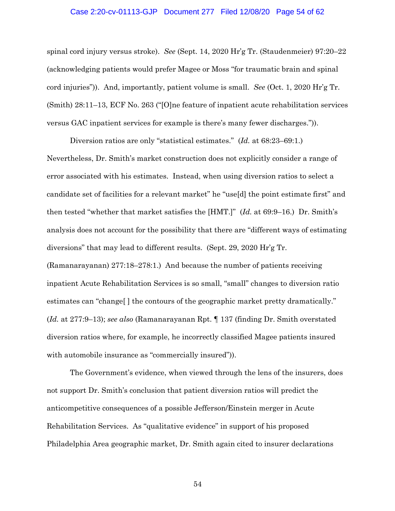## Case 2:20-cv-01113-GJP Document 277 Filed 12/08/20 Page 54 of 62

spinal cord injury versus stroke). *See* (Sept. 14, 2020 Hr'g Tr. (Staudenmeier) 97:20–22 (acknowledging patients would prefer Magee or Moss "for traumatic brain and spinal cord injuries")). And, importantly, patient volume is small. *See* (Oct. 1, 2020 Hr'g Tr. (Smith) 28:11–13, ECF No. 263 ("[O]ne feature of inpatient acute rehabilitation services versus GAC inpatient services for example is there's many fewer discharges.")).

Diversion ratios are only "statistical estimates." (*Id.* at 68:23–69:1.) Nevertheless, Dr. Smith's market construction does not explicitly consider a range of error associated with his estimates. Instead, when using diversion ratios to select a candidate set of facilities for a relevant market" he "use[d] the point estimate first" and then tested "whether that market satisfies the [HMT.]" (*Id.* at 69:9–16.) Dr. Smith's analysis does not account for the possibility that there are "different ways of estimating diversions" that may lead to different results. (Sept. 29, 2020 Hr'g Tr. (Ramanarayanan) 277:18–278:1.) And because the number of patients receiving inpatient Acute Rehabilitation Services is so small, "small" changes to diversion ratio estimates can "change[ ] the contours of the geographic market pretty dramatically." (*Id.* at 277:9–13); *see also* (Ramanarayanan Rpt. ¶ 137 (finding Dr. Smith overstated diversion ratios where, for example, he incorrectly classified Magee patients insured with automobile insurance as "commercially insured")).

The Government's evidence, when viewed through the lens of the insurers, does not support Dr. Smith's conclusion that patient diversion ratios will predict the anticompetitive consequences of a possible Jefferson/Einstein merger in Acute Rehabilitation Services. As "qualitative evidence" in support of his proposed Philadelphia Area geographic market, Dr. Smith again cited to insurer declarations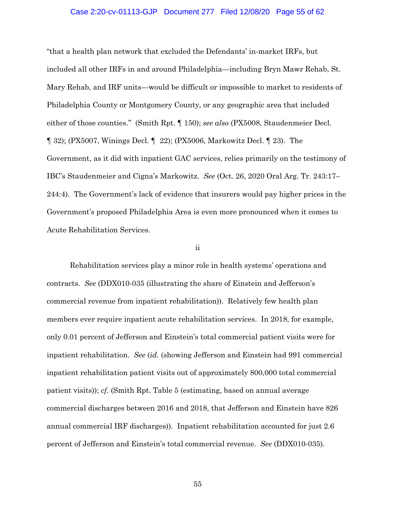#### Case 2:20-cv-01113-GJP Document 277 Filed 12/08/20 Page 55 of 62

"that a health plan network that excluded the Defendants' in-market IRFs, but included all other IRFs in and around Philadelphia—including Bryn Mawr Rehab, St. Mary Rehab, and IRF units—would be difficult or impossible to market to residents of Philadelphia County or Montgomery County, or any geographic area that included either of those counties." (Smith Rpt. ¶ 150); *see also* (PX5008, Staudenmeier Decl. ¶ 32); (PX5007, Winings Decl. ¶ 22); (PX5006, Markowitz Decl. ¶ 23). The Government, as it did with inpatient GAC services, relies primarily on the testimony of IBC's Staudenmeier and Cigna's Markowitz. *See* (Oct. 26, 2020 Oral Arg. Tr. 243:17– 244:4). The Government's lack of evidence that insurers would pay higher prices in the Government's proposed Philadelphia Area is even more pronounced when it comes to Acute Rehabilitation Services.

#### ii

Rehabilitation services play a minor role in health systems' operations and contracts. *See* (DDX010-035 (illustrating the share of Einstein and Jefferson's commercial revenue from inpatient rehabilitation)). Relatively few health plan members ever require inpatient acute rehabilitation services. In 2018, for example, only 0.01 percent of Jefferson and Einstein's total commercial patient visits were for inpatient rehabilitation. *See* (*id.* (showing Jefferson and Einstein had 991 commercial inpatient rehabilitation patient visits out of approximately 800,000 total commercial patient visits)); *cf.* (Smith Rpt. Table 5 (estimating, based on annual average commercial discharges between 2016 and 2018, that Jefferson and Einstein have 826 annual commercial IRF discharges)). Inpatient rehabilitation accounted for just 2.6 percent of Jefferson and Einstein's total commercial revenue. *See* (DDX010-035).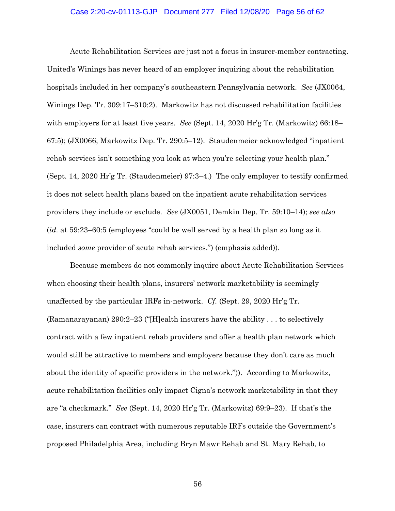## Case 2:20-cv-01113-GJP Document 277 Filed 12/08/20 Page 56 of 62

Acute Rehabilitation Services are just not a focus in insurer-member contracting. United's Winings has never heard of an employer inquiring about the rehabilitation hospitals included in her company's southeastern Pennsylvania network. *See* (JX0064, Winings Dep. Tr. 309:17–310:2). Markowitz has not discussed rehabilitation facilities with employers for at least five years. *See* (Sept. 14, 2020 Hr'g Tr. (Markowitz) 66:18– 67:5); (JX0066, Markowitz Dep. Tr. 290:5–12). Staudenmeier acknowledged "inpatient rehab services isn't something you look at when you're selecting your health plan." (Sept. 14, 2020 Hr'g Tr. (Staudenmeier) 97:3–4.) The only employer to testify confirmed it does not select health plans based on the inpatient acute rehabilitation services providers they include or exclude. *See* (JX0051, Demkin Dep. Tr. 59:10–14); *see also* (*id.* at 59:23–60:5 (employees "could be well served by a health plan so long as it included *some* provider of acute rehab services.") (emphasis added)).

Because members do not commonly inquire about Acute Rehabilitation Services when choosing their health plans, insurers' network marketability is seemingly unaffected by the particular IRFs in-network. *Cf.* (Sept. 29, 2020 Hr'g Tr. (Ramanarayanan) 290:2–23 ("[H]ealth insurers have the ability . . . to selectively contract with a few inpatient rehab providers and offer a health plan network which would still be attractive to members and employers because they don't care as much about the identity of specific providers in the network.")). According to Markowitz, acute rehabilitation facilities only impact Cigna's network marketability in that they are "a checkmark." *See* (Sept. 14, 2020 Hr'g Tr. (Markowitz) 69:9–23). If that's the case, insurers can contract with numerous reputable IRFs outside the Government's proposed Philadelphia Area, including Bryn Mawr Rehab and St. Mary Rehab, to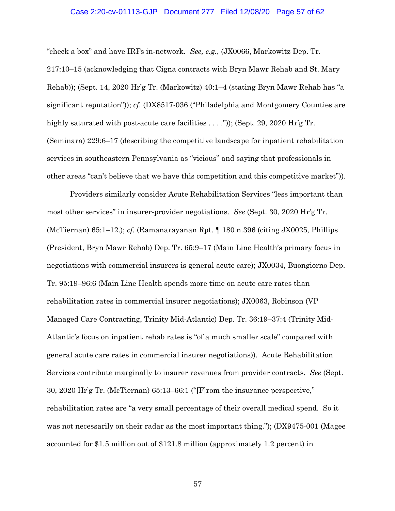## Case 2:20-cv-01113-GJP Document 277 Filed 12/08/20 Page 57 of 62

"check a box" and have IRFs in-network. *See, e.g.*, (JX0066, Markowitz Dep. Tr. 217:10–15 (acknowledging that Cigna contracts with Bryn Mawr Rehab and St. Mary Rehab)); (Sept. 14, 2020 Hr'g Tr. (Markowitz) 40:1–4 (stating Bryn Mawr Rehab has "a significant reputation")); *cf.* (DX8517-036 ("Philadelphia and Montgomery Counties are highly saturated with post-acute care facilities . . . .")); (Sept. 29, 2020 Hr'g Tr. (Seminara) 229:6–17 (describing the competitive landscape for inpatient rehabilitation services in southeastern Pennsylvania as "vicious" and saying that professionals in other areas "can't believe that we have this competition and this competitive market")).

Providers similarly consider Acute Rehabilitation Services "less important than most other services" in insurer-provider negotiations. *See* (Sept. 30, 2020 Hr'g Tr. (McTiernan) 65:1–12.); *cf.* (Ramanarayanan Rpt. ¶ 180 n.396 (citing JX0025, Phillips (President, Bryn Mawr Rehab) Dep. Tr. 65:9–17 (Main Line Health's primary focus in negotiations with commercial insurers is general acute care); JX0034, Buongiorno Dep. Tr. 95:19–96:6 (Main Line Health spends more time on acute care rates than rehabilitation rates in commercial insurer negotiations); JX0063, Robinson (VP Managed Care Contracting, Trinity Mid-Atlantic) Dep. Tr. 36:19–37:4 (Trinity Mid-Atlantic's focus on inpatient rehab rates is "of a much smaller scale" compared with general acute care rates in commercial insurer negotiations)). Acute Rehabilitation Services contribute marginally to insurer revenues from provider contracts. *See* (Sept. 30, 2020 Hr'g Tr. (McTiernan) 65:13–66:1 ("[F]rom the insurance perspective," rehabilitation rates are "a very small percentage of their overall medical spend. So it was not necessarily on their radar as the most important thing."); (DX9475-001 (Magee accounted for \$1.5 million out of \$121.8 million (approximately 1.2 percent) in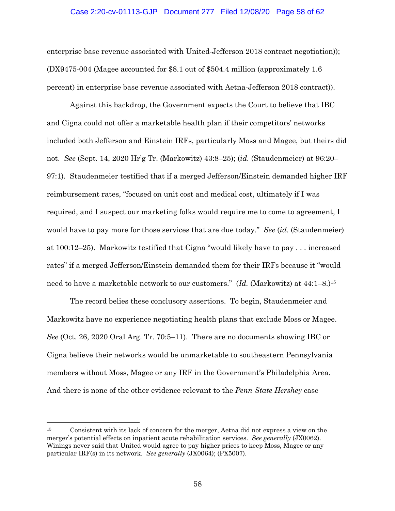# Case 2:20-cv-01113-GJP Document 277 Filed 12/08/20 Page 58 of 62

enterprise base revenue associated with United-Jefferson 2018 contract negotiation)); (DX9475-004 (Magee accounted for \$8.1 out of \$504.4 million (approximately 1.6 percent) in enterprise base revenue associated with Aetna-Jefferson 2018 contract)).

Against this backdrop, the Government expects the Court to believe that IBC and Cigna could not offer a marketable health plan if their competitors' networks included both Jefferson and Einstein IRFs, particularly Moss and Magee, but theirs did not. *See* (Sept. 14, 2020 Hr'g Tr. (Markowitz) 43:8–25); (*id.* (Staudenmeier) at 96:20– 97:1). Staudenmeier testified that if a merged Jefferson/Einstein demanded higher IRF reimbursement rates, "focused on unit cost and medical cost, ultimately if I was required, and I suspect our marketing folks would require me to come to agreement, I would have to pay more for those services that are due today." *See* (*id.* (Staudenmeier) at 100:12–25). Markowitz testified that Cigna "would likely have to pay . . . increased rates" if a merged Jefferson/Einstein demanded them for their IRFs because it "would need to have a marketable network to our customers." (*Id.* (Markowitz) at 44:1–8.)15

The record belies these conclusory assertions. To begin, Staudenmeier and Markowitz have no experience negotiating health plans that exclude Moss or Magee. *See* (Oct. 26, 2020 Oral Arg. Tr. 70:5–11). There are no documents showing IBC or Cigna believe their networks would be unmarketable to southeastern Pennsylvania members without Moss, Magee or any IRF in the Government's Philadelphia Area. And there is none of the other evidence relevant to the *Penn State Hershey* case

<sup>15</sup> Consistent with its lack of concern for the merger, Aetna did not express a view on the merger's potential effects on inpatient acute rehabilitation services. *See generally* (JX0062). Winings never said that United would agree to pay higher prices to keep Moss, Magee or any particular IRF(s) in its network. *See generally* (JX0064); (PX5007).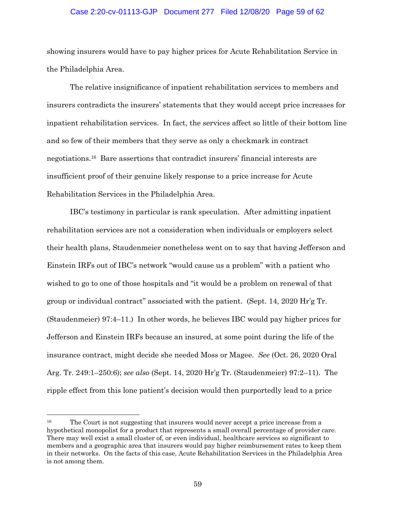# Case 2:20-cv-01113-GJP Document 277 Filed 12/08/20 Page 59 of 62

showing insurers would have to pay higher prices for Acute Rehabilitation Service in the Philadelphia Area.

The relative insignificance of inpatient rehabilitation services to members and insurers contradicts the insurers' statements that they would accept price increases for inpatient rehabilitation services. In fact, the services affect so little of their bottom line and so few of their members that they serve as only a checkmark in contract negotiations.16 Bare assertions that contradict insurers' financial interests are insufficient proof of their genuine likely response to a price increase for Acute Rehabilitation Services in the Philadelphia Area.

IBC's testimony in particular is rank speculation. After admitting inpatient rehabilitation services are not a consideration when individuals or employers select their health plans, Staudenmeier nonetheless went on to say that having Jefferson and Einstein IRFs out of IBC's network "would cause us a problem" with a patient who wished to go to one of those hospitals and "it would be a problem on renewal of that group or individual contract" associated with the patient. (Sept. 14, 2020 Hr'g Tr. (Staudenmeier) 97:4–11.) In other words, he believes IBC would pay higher prices for Jefferson and Einstein IRFs because an insured, at some point during the life of the insurance contract, might decide she needed Moss or Magee. *See* (Oct. 26, 2020 Oral Arg. Tr. 249:1–250:6); *see also* (Sept. 14, 2020 Hr'g Tr. (Staudenmeier) 97:2–11). The ripple effect from this lone patient's decision would then purportedly lead to a price

<sup>&</sup>lt;sup>16</sup> The Court is not suggesting that insurers would never accept a price increase from a hypothetical monopolist for a product that represents a small overall percentage of provider care. There may well exist a small cluster of, or even individual, healthcare services so significant to members and a geographic area that insurers would pay higher reimbursement rates to keep them in their networks. On the facts of this case, Acute Rehabilitation Services in the Philadelphia Area is not among them.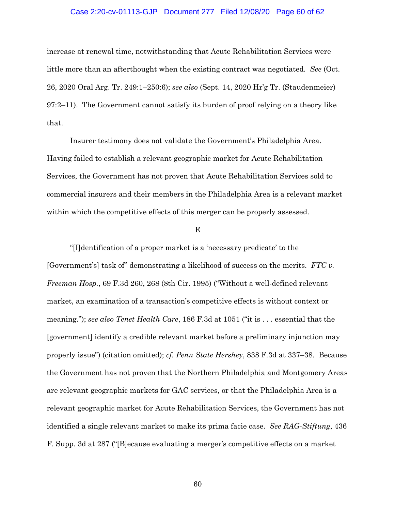## Case 2:20-cv-01113-GJP Document 277 Filed 12/08/20 Page 60 of 62

increase at renewal time, notwithstanding that Acute Rehabilitation Services were little more than an afterthought when the existing contract was negotiated. *See* (Oct. 26, 2020 Oral Arg. Tr. 249:1–250:6); *see also* (Sept. 14, 2020 Hr'g Tr. (Staudenmeier) 97:2–11). The Government cannot satisfy its burden of proof relying on a theory like that.

Insurer testimony does not validate the Government's Philadelphia Area. Having failed to establish a relevant geographic market for Acute Rehabilitation Services, the Government has not proven that Acute Rehabilitation Services sold to commercial insurers and their members in the Philadelphia Area is a relevant market within which the competitive effects of this merger can be properly assessed.

E

"[I]dentification of a proper market is a 'necessary predicate' to the [Government's] task of" demonstrating a likelihood of success on the merits. *FTC v. Freeman Hosp.*, 69 F.3d 260, 268 (8th Cir. 1995) ("Without a well-defined relevant market, an examination of a transaction's competitive effects is without context or meaning."); *see also Tenet Health Care*, 186 F.3d at 1051 ("it is . . . essential that the [government] identify a credible relevant market before a preliminary injunction may properly issue") (citation omitted); *cf. Penn State Hershey*, 838 F.3d at 337–38. Because the Government has not proven that the Northern Philadelphia and Montgomery Areas are relevant geographic markets for GAC services, or that the Philadelphia Area is a relevant geographic market for Acute Rehabilitation Services, the Government has not identified a single relevant market to make its prima facie case. *See RAG-Stiftung*, 436 F. Supp. 3d at 287 ("[B]ecause evaluating a merger's competitive effects on a market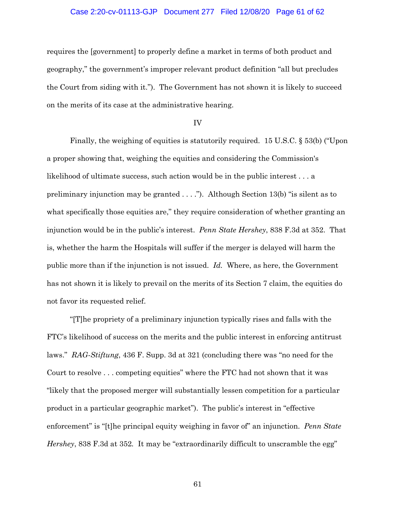## Case 2:20-cv-01113-GJP Document 277 Filed 12/08/20 Page 61 of 62

requires the [government] to properly define a market in terms of both product and geography," the government's improper relevant product definition "all but precludes the Court from siding with it."). The Government has not shown it is likely to succeed on the merits of its case at the administrative hearing.

#### IV

Finally, the weighing of equities is statutorily required. 15 U.S.C. § 53(b) ("Upon a proper showing that, weighing the equities and considering the Commission's likelihood of ultimate success, such action would be in the public interest . . . a preliminary injunction may be granted . . . ."). Although Section 13(b) "is silent as to what specifically those equities are," they require consideration of whether granting an injunction would be in the public's interest. *Penn State Hershey*, 838 F.3d at 352. That is, whether the harm the Hospitals will suffer if the merger is delayed will harm the public more than if the injunction is not issued. *Id.* Where, as here, the Government has not shown it is likely to prevail on the merits of its Section 7 claim, the equities do not favor its requested relief.

"[T]he propriety of a preliminary injunction typically rises and falls with the FTC's likelihood of success on the merits and the public interest in enforcing antitrust laws." *RAG-Stiftung*, 436 F. Supp. 3d at 321 (concluding there was "no need for the Court to resolve . . . competing equities" where the FTC had not shown that it was "likely that the proposed merger will substantially lessen competition for a particular product in a particular geographic market"). The public's interest in "effective enforcement" is "[t]he principal equity weighing in favor of" an injunction. *Penn State Hershey*, 838 F.3d at 352*.* It may be "extraordinarily difficult to unscramble the egg"